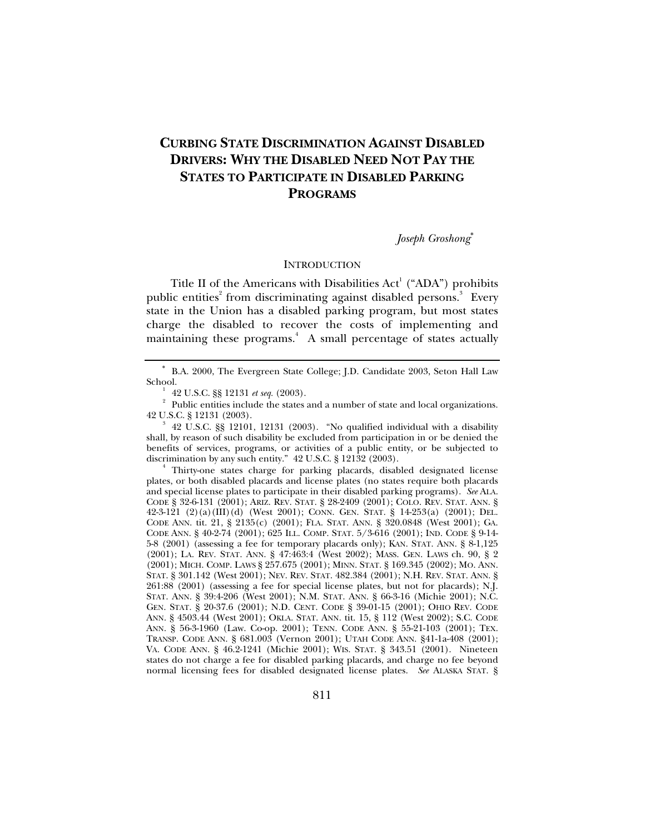# **CURBING STATE DISCRIMINATION AGAINST DISABLED DRIVERS: WHY THE DISABLED NEED NOT PAY THE STATES TO PARTICIPATE IN DISABLED PARKING PROGRAMS**

*Joseph Groshong*<sup>∗</sup>

### **INTRODUCTION**

Title II of the Americans with Disabilities  $Act^1$  ("ADA") prohibits public entities<sup>2</sup> from discriminating against disabled persons.<sup>3</sup> Every state in the Union has a disabled parking program, but most states charge the disabled to recover the costs of implementing and maintaining these programs.<sup>4</sup> A small percentage of states actually

 Thirty-one states charge for parking placards, disabled designated license plates, or both disabled placards and license plates (no states require both placards and special license plates to participate in their disabled parking programs). *See* ALA. CODE § 32-6-131 (2001); ARIZ. REV. STAT. § 28-2409 (2001); COLO. REV. STAT. ANN. § 42-3-121 (2)(a)(III)(d) (West 2001); CONN. GEN. STAT. § 14-253(a) (2001); DEL. CODE ANN. tit. 21, § 2135(c) (2001); FLA. STAT. ANN. § 320.0848 (West 2001); GA. CODE ANN. § 40-2-74 (2001); 625 ILL. COMP. STAT. 5/3-616 (2001); IND. CODE § 9-14- 5-8 (2001) (assessing a fee for temporary placards only); KAN. STAT. ANN. § 8-1,125 (2001); LA. REV. STAT. ANN. § 47:463:4 (West 2002); MASS. GEN. LAWS ch. 90, § 2 (2001); MICH. COMP. LAWS § 257.675 (2001); MINN. STAT. § 169.345 (2002); MO. ANN. STAT. § 301.142 (West 2001); NEV. REV. STAT. 482.384 (2001); N.H. REV. STAT. ANN. § 261:88 (2001) (assessing a fee for special license plates, but not for placards); N.J. STAT. ANN. § 39:4-206 (West 2001); N.M. STAT. ANN. § 66-3-16 (Michie 2001); N.C. GEN. STAT. § 20-37.6 (2001); N.D. CENT. CODE § 39-01-15 (2001); OHIO REV. CODE ANN. § 4503.44 (West 2001); OKLA. STAT. ANN. tit. 15, § 112 (West 2002); S.C. CODE ANN. § 56-3-1960 (Law. Co-op. 2001); TENN. CODE ANN. § 55-21-103 (2001); TEX. TRANSP. CODE ANN. § 681.003 (Vernon 2001); UTAH CODE ANN. §41-1a-408 (2001); VA. CODE ANN. § 46.2-1241 (Michie 2001); WIS. STAT. § 343.51 (2001). Nineteen states do not charge a fee for disabled parking placards, and charge no fee beyond normal licensing fees for disabled designated license plates. *See* ALASKA STAT. §

<sup>∗</sup> B.A. 2000, The Evergreen State College; J.D. Candidate 2003, Seton Hall Law School.<br><sup>1</sup> 42 U.S.C. §§ 12131 *et seq.* (2003).

 <sup>42</sup> U.S.C. §§ 12131 *et seq.* (2003). 2 Public entities include the states and a number of state and local organizations. 42 U.S.C. § 12131 (2003). 3

 <sup>42</sup> U.S.C. §§ 12101, 12131 (2003). "No qualified individual with a disability shall, by reason of such disability be excluded from participation in or be denied the benefits of services, programs, or activities of a public entity, or be subjected to discrimination by any such entity." 42 U.S.C. § 12132 (2003).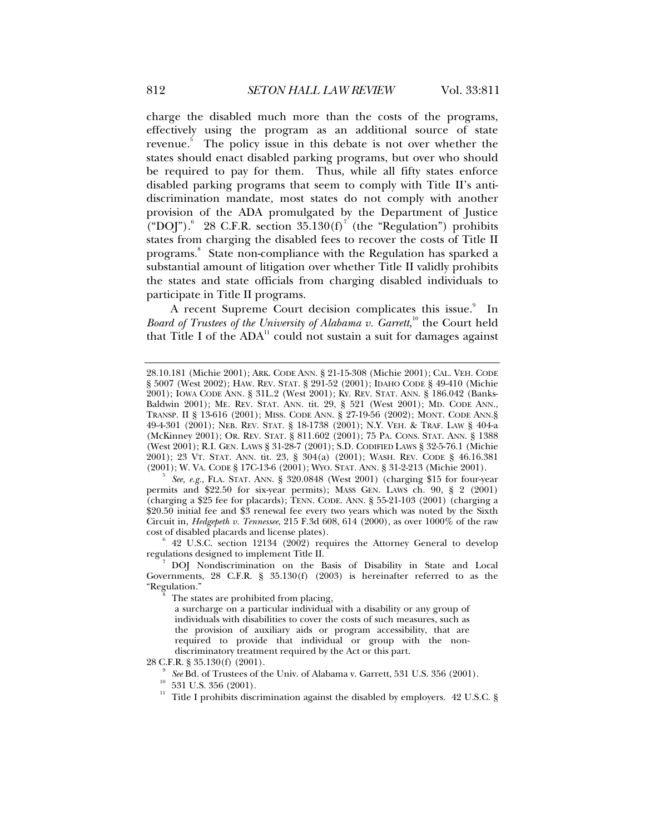charge the disabled much more than the costs of the programs, effectively using the program as an additional source of state revenue.<sup>5</sup> The policy issue in this debate is not over whether the states should enact disabled parking programs, but over who should be required to pay for them. Thus, while all fifty states enforce disabled parking programs that seem to comply with Title II's antidiscrimination mandate, most states do not comply with another provision of the ADA promulgated by the Department of Justice ("DOJ"). $^{6}$  28 C.F.R. section 35.130(f)<sup>7</sup> (the "Regulation") prohibits states from charging the disabled fees to recover the costs of Title II programs.<sup>8</sup> State non-compliance with the Regulation has sparked a substantial amount of litigation over whether Title II validly prohibits the states and state officials from charging disabled individuals to participate in Title II programs.

A recent Supreme Court decision complicates this issue.<sup>9</sup> In Board of Trustees of the University of Alabama v. Garrett,<sup>10</sup> the Court held that Title I of the  $ADA<sup>11</sup>$  could not sustain a suit for damages against

 *See, e.g.*, FLA. STAT. ANN. § 320.0848 (West 2001) (charging \$15 for four-year permits and \$22.50 for six-year permits); MASS GEN. LAWS ch. 90, § 2 (2001) (charging a \$25 fee for placards); TENN. CODE. ANN.  $\S 55-21-103$  (2001) (charging a \$20.50 initial fee and \$3 renewal fee every two years which was noted by the Sixth Circuit in, *Hedgepeth v. Tennessee*, 215 F.3d 608, 614 (2000), as over 1000% of the raw cost of disabled placards and license plates).

 $6$  42 U.S.C. section 12134 (2002) requires the Attorney General to develop regulations designed to implement Title II. 7

 DOJ Nondiscrimination on the Basis of Disability in State and Local Governments, 28 C.F.R. § 35.130(f) (2003) is hereinafter referred to as the "Regulation." 8

The states are prohibited from placing,

a surcharge on a particular individual with a disability or any group of individuals with disabilities to cover the costs of such measures, such as the provision of auxiliary aids or program accessibility, that are required to provide that individual or group with the nondiscriminatory treatment required by the Act or this part.

28 C.F.R. § 35.130(f) (2001). 9

<sup>9</sup> *See* Bd. of Trustees of the Univ. of Alabama v. Garrett, 531 U.S. 356 (2001). 10 531 U.S. 356 (2001).

 $11$  Title I prohibits discrimination against the disabled by employers. 42 U.S.C. §

<sup>28.10.181 (</sup>Michie 2001); ARK. CODE ANN. § 21-15-308 (Michie 2001); CAL. VEH. CODE § 5007 (West 2002); HAW. REV. STAT. § 291-52 (2001); IDAHO CODE § 49-410 (Michie 2001); IOWA CODE ANN. § 31L.2 (West 2001); KY. REV. STAT. ANN. § 186.042 (Banks-Baldwin 2001); ME. REV. STAT. ANN. tit. 29, § 521 (West 2001); MD. CODE ANN., TRANSP. II § 13-616 (2001); MISS. CODE ANN. § 27-19-56 (2002); MONT. CODE ANN.§ 49-4-301 (2001); NEB. REV. STAT. § 18-1738 (2001); N.Y. VEH. & TRAF. LAW § 404-a (McKinney 2001); OR. REV. STAT. § 811.602 (2001); 75 PA. CONS. STAT. ANN. § 1388 (West 2001); R.I. GEN. LAWS § 31-28-7 (2001); S.D. CODIFIED LAWS § 32-5-76.1 (Michie 2001); 23 VT. STAT. ANN. tit. 23, § 304(a) (2001); WASH. REV. CODE § 46.16.381 (2001); W. VA. CODE § 17C-13-6 (2001); WYO. STAT. ANN. § 31-2-213 (Michie 2001).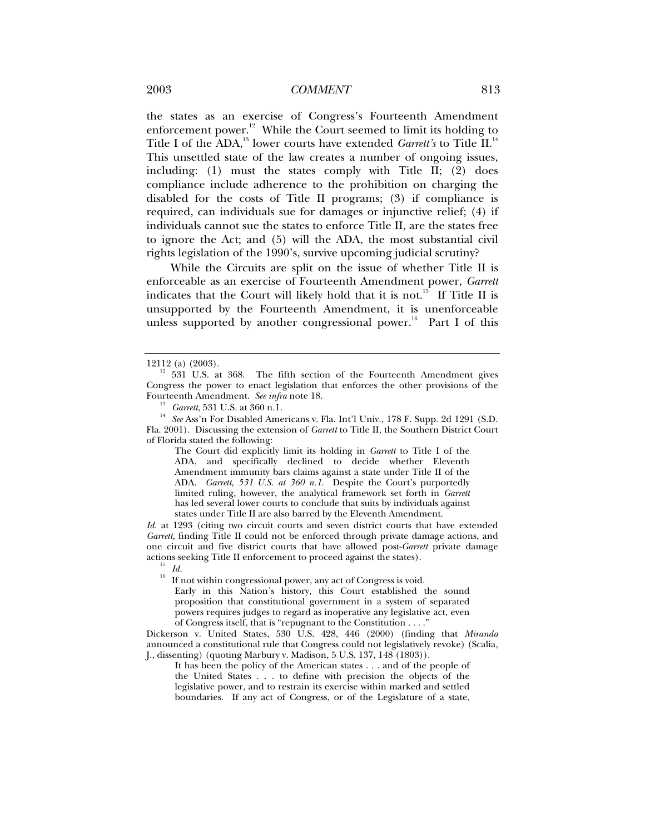the states as an exercise of Congress's Fourteenth Amendment enforcement power.<sup>12</sup> While the Court seemed to limit its holding to Title I of the ADA,<sup>13</sup> lower courts have extended *Garrett's* to Title II.<sup>14</sup> This unsettled state of the law creates a number of ongoing issues, including: (1) must the states comply with Title II; (2) does compliance include adherence to the prohibition on charging the disabled for the costs of Title II programs; (3) if compliance is required, can individuals sue for damages or injunctive relief; (4) if individuals cannot sue the states to enforce Title II, are the states free to ignore the Act; and (5) will the ADA, the most substantial civil rights legislation of the 1990's, survive upcoming judicial scrutiny?

While the Circuits are split on the issue of whether Title II is enforceable as an exercise of Fourteenth Amendment power, *Garrett*  indicates that the Court will likely hold that it is not.<sup>15</sup> If Title II is unsupported by the Fourteenth Amendment, it is unenforceable unless supported by another congressional power.<sup>16</sup> Part I of this

The Court did explicitly limit its holding in *Garrett* to Title I of the ADA, and specifically declined to decide whether Eleventh Amendment immunity bars claims against a state under Title II of the ADA. *Garrett*, *531 U.S. at 360 n.1.* Despite the Court's purportedly limited ruling, however, the analytical framework set forth in *Garrett* has led several lower courts to conclude that suits by individuals against states under Title II are also barred by the Eleventh Amendment.

*Id.* at 1293 (citing two circuit courts and seven district courts that have extended *Garrett*, finding Title II could not be enforced through private damage actions, and one circuit and five district courts that have allowed post-*Garrett* private damage actions seeking Title II enforcement to proceed against the states).<br><sup>15</sup> *Id.*<br><sup>16</sup> *If* 

16 If not within congressional power, any act of Congress is void. Early in this Nation's history, this Court established the sound proposition that constitutional government in a system of separated powers requires judges to regard as inoperative any legislative act, even of Congress itself, that is "repugnant to the Constitution  $\dots$ "

Dickerson v. United States, 530 U.S. 428, 446 (2000) (finding that *Miranda*  announced a constitutional rule that Congress could not legislatively revoke) (Scalia, J., dissenting) (quoting Marbury v. Madison, 5 U.S. 137, 148 (1803)).

It has been the policy of the American states . . . and of the people of the United States . . . to define with precision the objects of the legislative power, and to restrain its exercise within marked and settled boundaries. If any act of Congress, or of the Legislature of a state,

<sup>12112 (</sup>a) (2003).<br><sup>12</sup> 531 U.S. at 368. The fifth section of the Fourteenth Amendment gives Congress the power to enact legislation that enforces the other provisions of the Fourteenth Amendment. See infra note 18.

<sup>&</sup>lt;sup>13</sup> Garrett, 531 U.S. at 360 n.1.<br><sup>14</sup> See Ass'n For Disabled Americans v. Fla. Int'l Univ., 178 F. Supp. 2d 1291 (S.D. Fla. 2001). Discussing the extension of *Garrett* to Title II, the Southern District Court of Florida stated the following: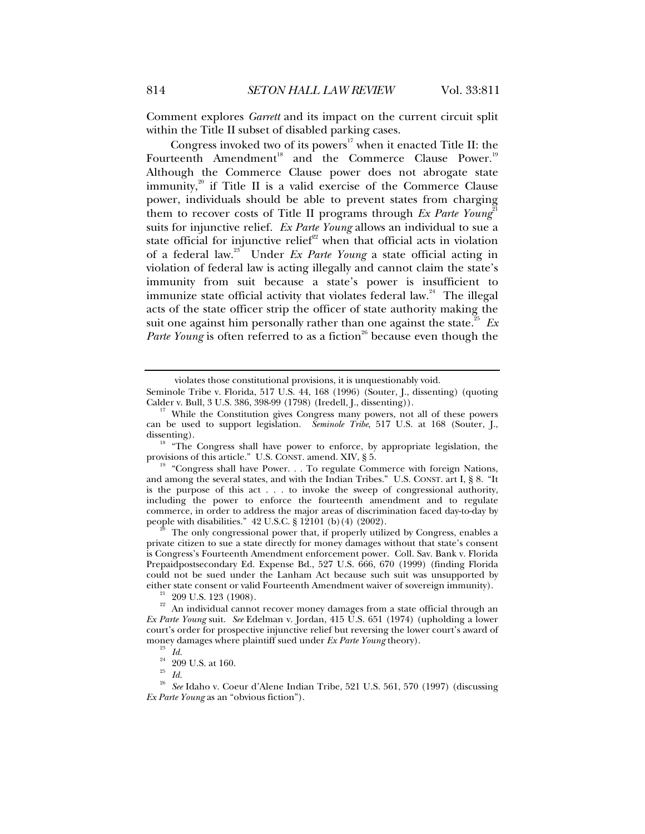Comment explores *Garrett* and its impact on the current circuit split within the Title II subset of disabled parking cases.

Congress invoked two of its powers<sup>17</sup> when it enacted Title II: the Fourteenth Amendment<sup>18</sup> and the Commerce Clause Power.<sup>19</sup> Although the Commerce Clause power does not abrogate state immunity, $20$  if Title II is a valid exercise of the Commerce Clause power, individuals should be able to prevent states from charging them to recover costs of Title II programs through *Ex Parte Young*<sup>21</sup> suits for injunctive relief. *Ex Parte Young* allows an individual to sue a state official for injunctive relief<sup>22</sup> when that official acts in violation of a federal law.23 Under *Ex Parte Young* a state official acting in violation of federal law is acting illegally and cannot claim the state's immunity from suit because a state's power is insufficient to immunize state official activity that violates federal law. $24$  The illegal acts of the state officer strip the officer of state authority making the suit one against him personally rather than one against the state.<sup>25</sup>  $Ex$ *Parte Young* is often referred to as a fiction<sup>26</sup> because even though the

The only congressional power that, if properly utilized by Congress, enables a private citizen to sue a state directly for money damages without that state's consent is Congress's Fourteenth Amendment enforcement power. Coll. Sav. Bank v. Florida Prepaidpostsecondary Ed. Expense Bd., 527 U.S. 666, 670 (1999) (finding Florida could not be sued under the Lanham Act because such suit was unsupported by either state consent or valid Fourteenth Amendment waiver of sovereign immunity).<br><sup>21</sup> 209 U.S. 123 (1908).<br><sup>22</sup> An individual cannot recover money damages from a state official through an

<sup>25</sup> *Id.*

violates those constitutional provisions, it is unquestionably void.

Seminole Tribe v. Florida, 517 U.S. 44, 168 (1996) (Souter, J., dissenting) (quoting Calder v. Bull, 3 U.S. 386, 398-99 (1798) (Iredell, J., dissenting)).

<sup>&</sup>lt;sup>17</sup> While the Constitution gives Congress many powers, not all of these powers can be used to support legislation. *Seminole Tribe*, 517 U.S. at 168 (Souter, J.,

dissenting).<br><sup>18</sup> "The Congress shall have power to enforce, by appropriate legislation, the provisions of this article." U.S. CONST. amend. XIV, § 5.<br><sup>19</sup> "Congress shall have Power. . . To regulate Commerce with foreign Nations,

and among the several states, and with the Indian Tribes." U.S. CONST. art I, § 8. "It is the purpose of this act . . . to invoke the sweep of congressional authority, including the power to enforce the fourteenth amendment and to regulate commerce, in order to address the major areas of discrimination faced day-to-day by people with disabilities."  $42$  U.S.C. § 12101 (b)(4) (2002).

An individual cannot recover money damages from a state official through an *Ex Parte Young* suit. *See* Edelman v. Jordan, 415 U.S. 651 (1974) (upholding a lower court's order for prospective injunctive relief but reversing the lower court's award of money damages where plaintiff sued under *Ex Parte Young* theory).<br><sup>23</sup> *Id.* 

 $\frac{24}{25}$  209 U.S. at 160.

<sup>26</sup> *See* Idaho v. Coeur d'Alene Indian Tribe, 521 U.S. 561, 570 (1997) (discussing *Ex Parte Young* as an "obvious fiction").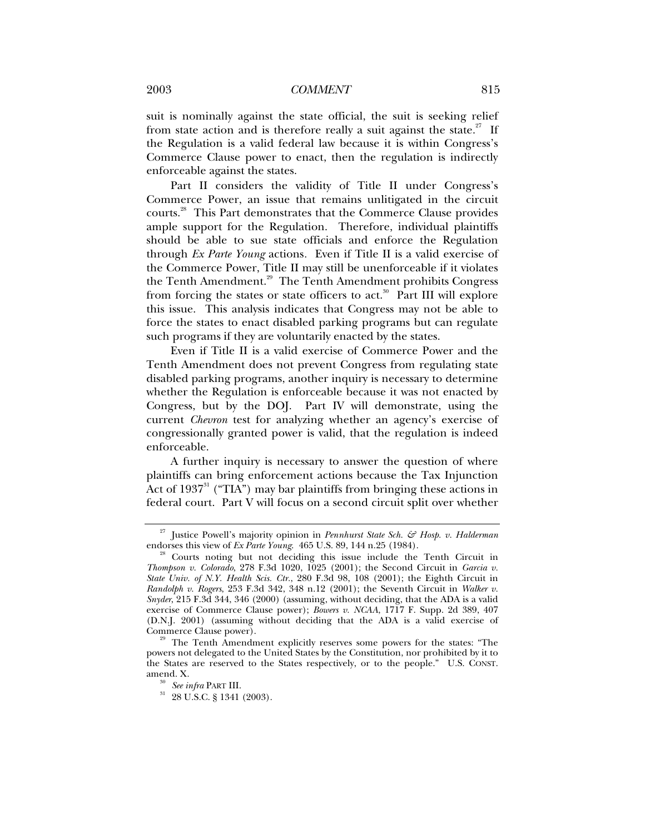suit is nominally against the state official, the suit is seeking relief from state action and is therefore really a suit against the state.<sup>27</sup> If the Regulation is a valid federal law because it is within Congress's Commerce Clause power to enact, then the regulation is indirectly enforceable against the states.

Part II considers the validity of Title II under Congress's Commerce Power, an issue that remains unlitigated in the circuit courts.28 This Part demonstrates that the Commerce Clause provides ample support for the Regulation. Therefore, individual plaintiffs should be able to sue state officials and enforce the Regulation through *Ex Parte Young* actions*.* Even if Title II is a valid exercise of the Commerce Power, Title II may still be unenforceable if it violates the Tenth Amendment.<sup>29</sup> The Tenth Amendment prohibits Congress from forcing the states or state officers to act.<sup>30</sup> Part III will explore this issue. This analysis indicates that Congress may not be able to force the states to enact disabled parking programs but can regulate such programs if they are voluntarily enacted by the states.

Even if Title II is a valid exercise of Commerce Power and the Tenth Amendment does not prevent Congress from regulating state disabled parking programs, another inquiry is necessary to determine whether the Regulation is enforceable because it was not enacted by Congress, but by the DOJ. Part IV will demonstrate, using the current *Chevron* test for analyzing whether an agency's exercise of congressionally granted power is valid, that the regulation is indeed enforceable.

A further inquiry is necessary to answer the question of where plaintiffs can bring enforcement actions because the Tax Injunction Act of  $1937<sup>31</sup>$  ("TIA") may bar plaintiffs from bringing these actions in federal court. Part V will focus on a second circuit split over whether

<sup>&</sup>lt;sup>27</sup> Justice Powell's majority opinion in *Pennhurst State Sch. & Hosp. v. Halderman* endorses this view of *Ex Parte Young.* 465 U.S. 89, 144 n.25 (1984).

<sup>&</sup>lt;sup>3</sup> Courts noting but not deciding this issue include the Tenth Circuit in *Thompson v. Colorado*, 278 F.3d 1020, 1025 (2001); the Second Circuit in *Garcia v. State Univ. of N.Y. Health Scis. Ctr.*, 280 F.3d 98, 108 (2001); the Eighth Circuit in *Randolph v. Rogers*, 253 F.3d 342, 348 n.12 (2001); the Seventh Circuit in *Walker v. Snyder*, 215 F.3d 344, 346 (2000) (assuming, without deciding, that the ADA is a valid exercise of Commerce Clause power); *Bowers v. NCAA*, 1717 F. Supp. 2d 389, 407 (D.N.J. 2001) (assuming without deciding that the ADA is a valid exercise of

Commerce Clause power). 29 The Tenth Amendment explicitly reserves some powers for the states: "The powers not delegated to the United States by the Constitution, nor prohibited by it to the States are reserved to the States respectively, or to the people." U.S. CONST.

<sup>&</sup>lt;sup>30</sup> *See infra* PART III.<br><sup>31</sup> 28 U.S.C. § 1341 (2003).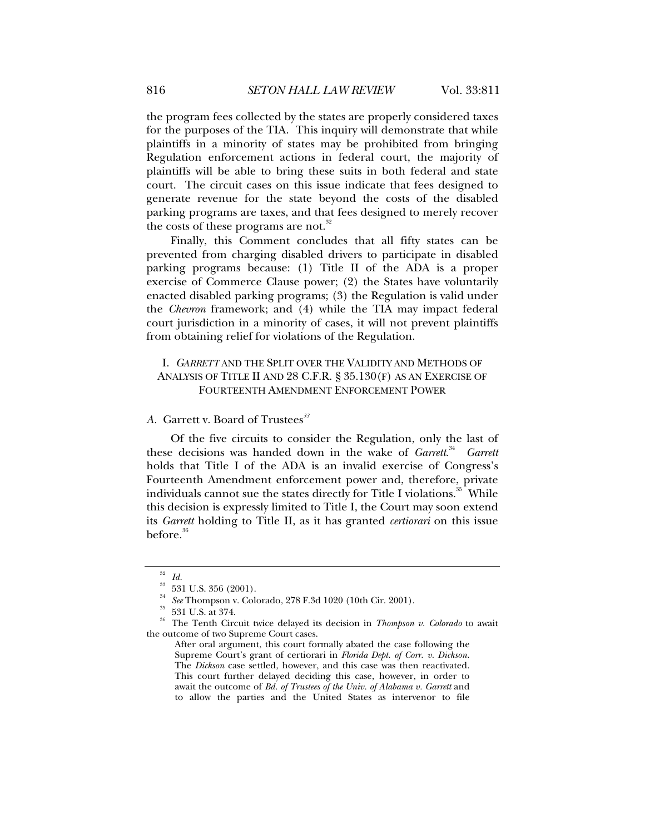the program fees collected by the states are properly considered taxes for the purposes of the TIA. This inquiry will demonstrate that while plaintiffs in a minority of states may be prohibited from bringing Regulation enforcement actions in federal court, the majority of plaintiffs will be able to bring these suits in both federal and state court. The circuit cases on this issue indicate that fees designed to generate revenue for the state beyond the costs of the disabled parking programs are taxes, and that fees designed to merely recover the costs of these programs are not.<sup>32</sup>

Finally, this Comment concludes that all fifty states can be prevented from charging disabled drivers to participate in disabled parking programs because: (1) Title II of the ADA is a proper exercise of Commerce Clause power; (2) the States have voluntarily enacted disabled parking programs; (3) the Regulation is valid under the *Chevron* framework; and (4) while the TIA may impact federal court jurisdiction in a minority of cases, it will not prevent plaintiffs from obtaining relief for violations of the Regulation.

## I. *GARRETT* AND THE SPLIT OVER THE VALIDITY AND METHODS OF ANALYSIS OF TITLE II AND 28 C.F.R. § 35.130(F) AS AN EXERCISE OF FOURTEENTH AMENDMENT ENFORCEMENT POWER

### *A.* Garrett v. Board of Trustees*<sup>33</sup>*

Of the five circuits to consider the Regulation, only the last of these decisions was handed down in the wake of *Garrett*.<sup>34</sup> *Garrett* holds that Title I of the ADA is an invalid exercise of Congress's Fourteenth Amendment enforcement power and, therefore, private individuals cannot sue the states directly for Title I violations.<sup>35</sup> While this decision is expressly limited to Title I, the Court may soon extend its *Garrett* holding to Title II, as it has granted *certiorari* on this issue before.<sup>36</sup>

<sup>32</sup> *Id.*

 $^{\rm 33}$  531 U.S. 356 (2001).

<sup>34</sup> *See* Thompson v. Colorado, 278 F.3d 1020 (10th Cir. 2001). 35 531 U.S. at 374.

<sup>36</sup> The Tenth Circuit twice delayed its decision in *Thompson v. Colorado* to await the outcome of two Supreme Court cases.

After oral argument, this court formally abated the case following the Supreme Court's grant of certiorari in *Florida Dept. of Corr. v. Dickson.* The *Dickson* case settled, however, and this case was then reactivated. This court further delayed deciding this case, however, in order to await the outcome of *Bd. of Trustees of the Univ. of Alabama v. Garrett* and to allow the parties and the United States as intervenor to file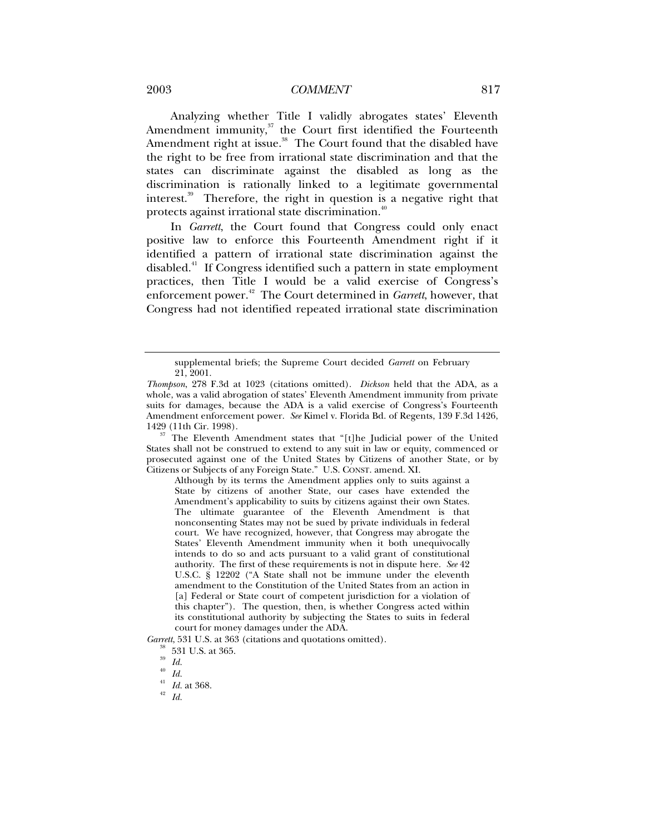### 2003 *COMMENT* 817

Analyzing whether Title I validly abrogates states' Eleventh Amendment immunity, $37$  the Court first identified the Fourteenth Amendment right at issue.<sup>38</sup> The Court found that the disabled have the right to be free from irrational state discrimination and that the states can discriminate against the disabled as long as the discrimination is rationally linked to a legitimate governmental interest.<sup>39</sup> Therefore, the right in question is a negative right that protects against irrational state discrimination.<sup>40</sup>

In *Garrett*, the Court found that Congress could only enact positive law to enforce this Fourteenth Amendment right if it identified a pattern of irrational state discrimination against the disabled.<sup>41</sup> If Congress identified such a pattern in state employment practices, then Title I would be a valid exercise of Congress's enforcement power.42 The Court determined in *Garrett*, however, that Congress had not identified repeated irrational state discrimination

<sup>37</sup> The Eleventh Amendment states that "[t]he Judicial power of the United States shall not be construed to extend to any suit in law or equity, commenced or prosecuted against one of the United States by Citizens of another State, or by Citizens or Subjects of any Foreign State." U.S. CONST. amend. XI.

Although by its terms the Amendment applies only to suits against a State by citizens of another State, our cases have extended the Amendment's applicability to suits by citizens against their own States. The ultimate guarantee of the Eleventh Amendment is that nonconsenting States may not be sued by private individuals in federal court. We have recognized, however, that Congress may abrogate the States' Eleventh Amendment immunity when it both unequivocally intends to do so and acts pursuant to a valid grant of constitutional authority. The first of these requirements is not in dispute here. *See* 42 U.S.C. § 12202 ("A State shall not be immune under the eleventh amendment to the Constitution of the United States from an action in [a] Federal or State court of competent jurisdiction for a violation of this chapter"). The question, then, is whether Congress acted within its constitutional authority by subjecting the States to suits in federal court for money damages under the ADA.

*Garrett*, 531 U.S. at 363 (citations and quotations omitted). <sup>38</sup> 531 U.S. at 365.

supplemental briefs; the Supreme Court decided *Garrett* on February 21, 2001.

*Thompson*, 278 F.3d at 1023 (citations omitted). *Dickson* held that the ADA, as a whole, was a valid abrogation of states' Eleventh Amendment immunity from private suits for damages, because the ADA is a valid exercise of Congress's Fourteenth Amendment enforcement power. *See* Kimel v. Florida Bd. of Regents, 139 F.3d 1426,

<sup>39</sup> *Id.*

<sup>40</sup> *Id.*

<sup>41</sup> *Id.* at 368. 42 *Id.*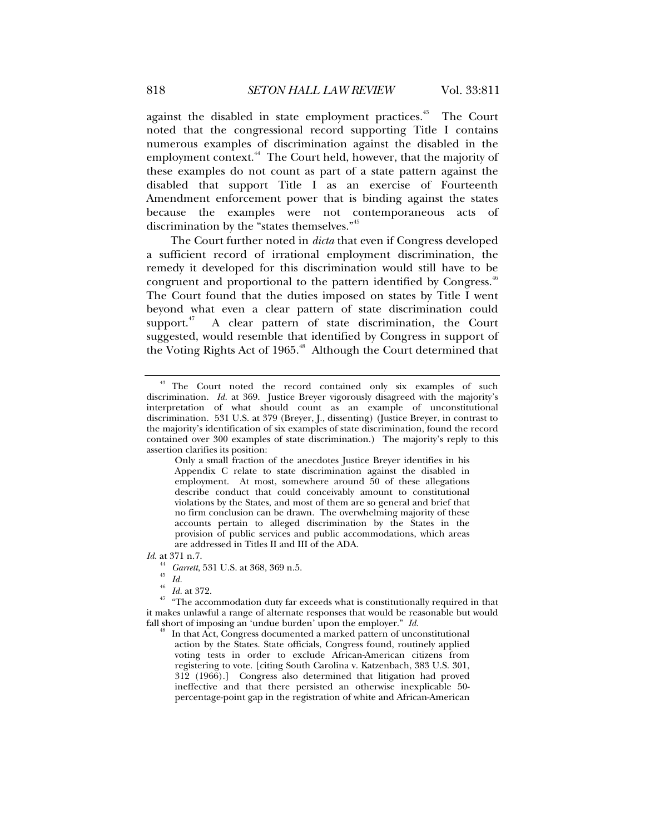against the disabled in state employment practices.<sup>43</sup> The Court noted that the congressional record supporting Title I contains numerous examples of discrimination against the disabled in the employment context.<sup>44</sup> The Court held, however, that the majority of these examples do not count as part of a state pattern against the disabled that support Title I as an exercise of Fourteenth Amendment enforcement power that is binding against the states because the examples were not contemporaneous acts of discrimination by the "states themselves."<sup>45</sup>

The Court further noted in *dicta* that even if Congress developed a sufficient record of irrational employment discrimination, the remedy it developed for this discrimination would still have to be congruent and proportional to the pattern identified by Congress.<sup>46</sup> The Court found that the duties imposed on states by Title I went beyond what even a clear pattern of state discrimination could support. $47$  A clear pattern of state discrimination, the Court suggested, would resemble that identified by Congress in support of the Voting Rights Act of 1965.48 Although the Court determined that

*Id.* at 371 n.7.

<sup>44</sup> *Garrett*, 531 U.S. at 368, 369 n.5. 45 *Id.*

 $\frac{46}{47}$   $\frac{1}{41}$  at 372.<br> $\frac{47}{47}$  "The accommodation duty far exceeds what is constitutionally required in that it makes unlawful a range of alternate responses that would be reasonable but would fall short of imposing an 'undue burden' upon the employer."  $Id$ .

In that Act, Congress documented a marked pattern of unconstitutional action by the States. State officials, Congress found, routinely applied voting tests in order to exclude African-American citizens from registering to vote. [citing South Carolina v. Katzenbach, 383 U.S. 301, 312 (1966).] Congress also determined that litigation had proved ineffective and that there persisted an otherwise inexplicable 50 percentage-point gap in the registration of white and African-American

<sup>&</sup>lt;sup>43</sup> The Court noted the record contained only six examples of such discrimination. *Id.* at 369. Justice Breyer vigorously disagreed with the majority's interpretation of what should count as an example of unconstitutional discrimination. 531 U.S. at 379 (Breyer, J., dissenting) (Justice Breyer, in contrast to the majority's identification of six examples of state discrimination, found the record contained over 300 examples of state discrimination.) The majority's reply to this assertion clarifies its position:

Only a small fraction of the anecdotes Justice Breyer identifies in his Appendix C relate to state discrimination against the disabled in employment. At most, somewhere around  $50$  of these allegations describe conduct that could conceivably amount to constitutional violations by the States, and most of them are so general and brief that no firm conclusion can be drawn. The overwhelming majority of these accounts pertain to alleged discrimination by the States in the provision of public services and public accommodations, which areas are addressed in Titles II and III of the ADA.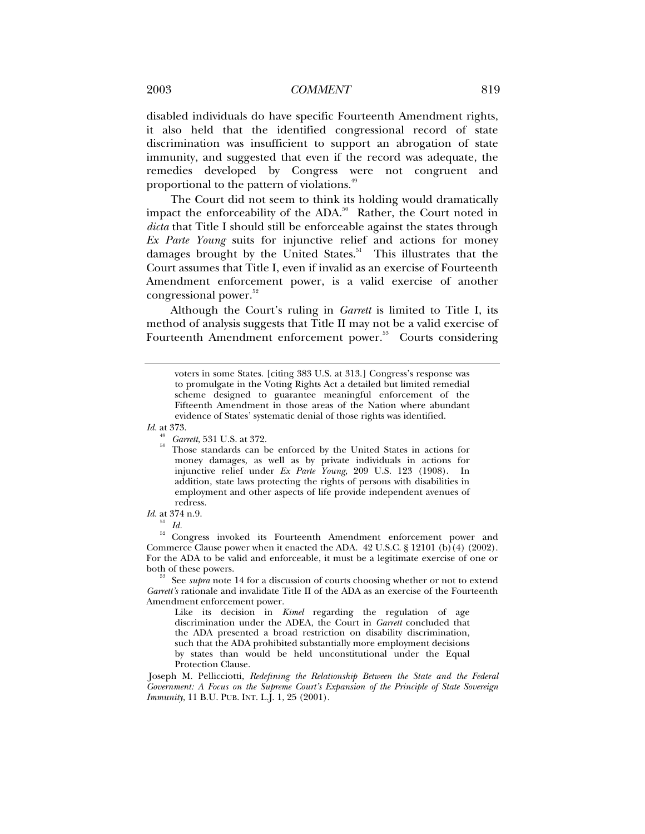disabled individuals do have specific Fourteenth Amendment rights, it also held that the identified congressional record of state discrimination was insufficient to support an abrogation of state immunity, and suggested that even if the record was adequate, the remedies developed by Congress were not congruent and proportional to the pattern of violations.<sup>49</sup>

The Court did not seem to think its holding would dramatically impact the enforceability of the ADA. $50$  Rather, the Court noted in *dicta* that Title I should still be enforceable against the states through *Ex Parte Young* suits for injunctive relief and actions for money damages brought by the United States.<sup>51</sup> This illustrates that the Court assumes that Title I, even if invalid as an exercise of Fourteenth Amendment enforcement power, is a valid exercise of another congressional power.<sup>52</sup>

Although the Court's ruling in *Garrett* is limited to Title I, its method of analysis suggests that Title II may not be a valid exercise of Fourteenth Amendment enforcement power.<sup>53</sup> Courts considering

*Id.* at 373.

*Id.* at 374 n.9.

 $\frac{51}{52}$  *Id.* 

52 Congress invoked its Fourteenth Amendment enforcement power and Commerce Clause power when it enacted the ADA.  $42 \text{ U.S.C.}$  § 12101 (b)(4) (2002). For the ADA to be valid and enforceable, it must be a legitimate exercise of one or both of these powers. 53 See *supra* note 14 for a discussion of courts choosing whether or not to extend

*Garrett's* rationale and invalidate Title II of the ADA as an exercise of the Fourteenth Amendment enforcement power.

Like its decision in *Kimel* regarding the regulation of age discrimination under the ADEA, the Court in *Garrett* concluded that the ADA presented a broad restriction on disability discrimination, such that the ADA prohibited substantially more employment decisions by states than would be held unconstitutional under the Equal Protection Clause.

 Joseph M. Pellicciotti, *Redefining the Relationship Between the State and the Federal Government: A Focus on the Supreme Court's Expansion of the Principle of State Sovereign Immunity*, 11 B.U. PUB. INT. L.J. 1, 25 (2001).

voters in some States. [citing 383 U.S. at 313.] Congress's response was to promulgate in the Voting Rights Act a detailed but limited remedial scheme designed to guarantee meaningful enforcement of the Fifteenth Amendment in those areas of the Nation where abundant evidence of States' systematic denial of those rights was identified.

<sup>49</sup> *Garrett*, 531 U.S. at 372. 50 Those standards can be enforced by the United States in actions for money damages, as well as by private individuals in actions for injunctive relief under *Ex Parte Young*, 209 U.S. 123 (1908). In addition, state laws protecting the rights of persons with disabilities in employment and other aspects of life provide independent avenues of redress.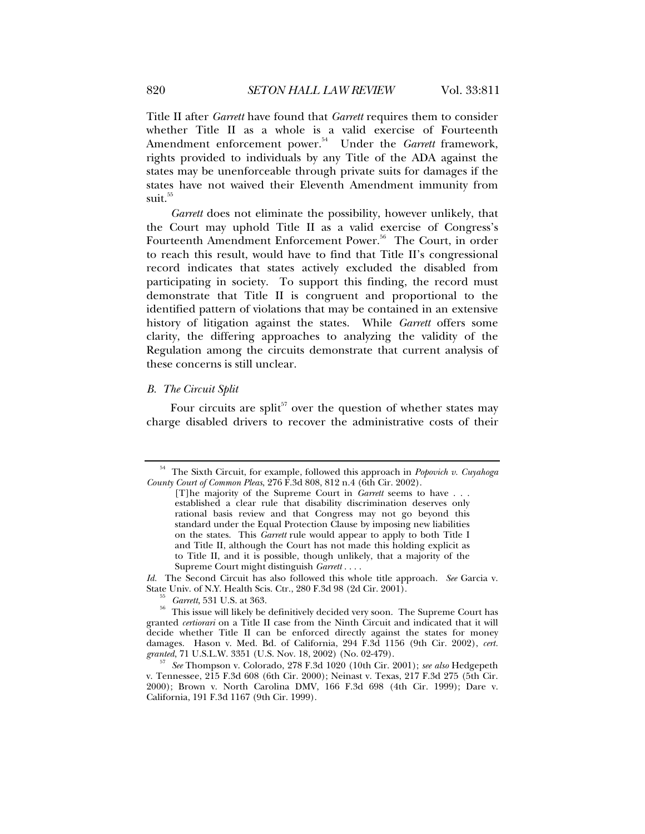Title II after *Garrett* have found that *Garrett* requires them to consider whether Title II as a whole is a valid exercise of Fourteenth Amendment enforcement power.<sup>54</sup> Under the *Garrett* framework, rights provided to individuals by any Title of the ADA against the states may be unenforceable through private suits for damages if the states have not waived their Eleventh Amendment immunity from suit.<sup>55</sup>

*Garrett* does not eliminate the possibility, however unlikely, that the Court may uphold Title II as a valid exercise of Congress's Fourteenth Amendment Enforcement Power.<sup>56</sup> The Court, in order to reach this result, would have to find that Title II's congressional record indicates that states actively excluded the disabled from participating in society. To support this finding, the record must demonstrate that Title II is congruent and proportional to the identified pattern of violations that may be contained in an extensive history of litigation against the states. While *Garrett* offers some clarity, the differing approaches to analyzing the validity of the Regulation among the circuits demonstrate that current analysis of these concerns is still unclear.

#### *B. The Circuit Split*

Four circuits are split<sup>57</sup> over the question of whether states may charge disabled drivers to recover the administrative costs of their

<sup>54</sup> The Sixth Circuit, for example, followed this approach in *Popovich v. Cuyahoga County Court of Common Pleas*, 276 F.3d 808, 812 n.4 (6th Cir. 2002).

<sup>[</sup>T]he majority of the Supreme Court in *Garrett* seems to have . . . established a clear rule that disability discrimination deserves only rational basis review and that Congress may not go beyond this standard under the Equal Protection Clause by imposing new liabilities on the states. This *Garrett* rule would appear to apply to both Title I and Title II, although the Court has not made this holding explicit as to Title II, and it is possible, though unlikely, that a majority of the Supreme Court might distinguish *Garrett* . . . .

*Id.* The Second Circuit has also followed this whole title approach. *See* Garcia v. State Univ. of N.Y. Health Scis. Ctr., 280 F.3d 98 (2d Cir. 2001).

<sup>&</sup>lt;sup>33</sup> Garrett, 531 U.S. at 363.<br><sup>56</sup> This issue will likely be definitively decided very soon. The Supreme Court has granted *certiorari* on a Title II case from the Ninth Circuit and indicated that it will decide whether Title II can be enforced directly against the states for money damages. Hason v. Med. Bd. of California, 294 F.3d 1156 (9th Cir. 2002), *cert. granted*, 71 U.S.L.W. 3351 (U.S. Nov. 18, 2002) (No. 02-479).

*See* Thompson v. Colorado, 278 F.3d 1020 (10th Cir. 2001); *see also* Hedgepeth v. Tennessee, 215 F.3d 608 (6th Cir. 2000); Neinast v. Texas, 217 F.3d 275 (5th Cir. 2000); Brown v. North Carolina DMV, 166 F.3d 698 (4th Cir. 1999); Dare v. California, 191 F.3d 1167 (9th Cir. 1999).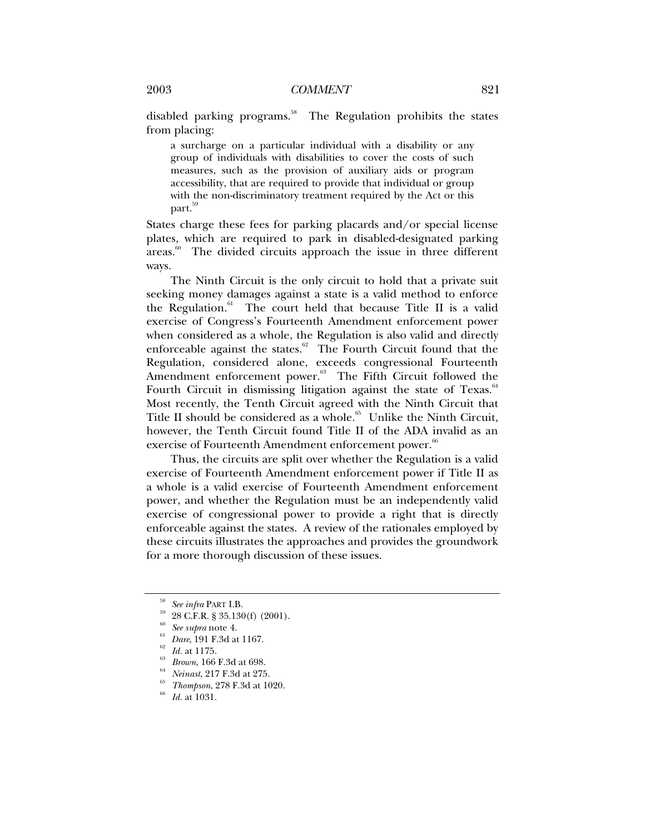disabled parking programs.<sup>58</sup> The Regulation prohibits the states from placing:

a surcharge on a particular individual with a disability or any group of individuals with disabilities to cover the costs of such measures, such as the provision of auxiliary aids or program accessibility, that are required to provide that individual or group with the non-discriminatory treatment required by the Act or this part.<sup>59</sup>

States charge these fees for parking placards and/or special license plates, which are required to park in disabled-designated parking areas.<sup>60</sup> The divided circuits approach the issue in three different ways.

The Ninth Circuit is the only circuit to hold that a private suit seeking money damages against a state is a valid method to enforce the Regulation. $61$  The court held that because Title II is a valid exercise of Congress's Fourteenth Amendment enforcement power when considered as a whole, the Regulation is also valid and directly enforceable against the states. $62$  The Fourth Circuit found that the Regulation, considered alone, exceeds congressional Fourteenth Amendment enforcement power.<sup>63</sup> The Fifth Circuit followed the Fourth Circuit in dismissing litigation against the state of Texas. $64$ Most recently, the Tenth Circuit agreed with the Ninth Circuit that Title II should be considered as a whole.<sup>65</sup> Unlike the Ninth Circuit, however, the Tenth Circuit found Title II of the ADA invalid as an exercise of Fourteenth Amendment enforcement power.<sup>66</sup>

Thus, the circuits are split over whether the Regulation is a valid exercise of Fourteenth Amendment enforcement power if Title II as a whole is a valid exercise of Fourteenth Amendment enforcement power, and whether the Regulation must be an independently valid exercise of congressional power to provide a right that is directly enforceable against the states. A review of the rationales employed by these circuits illustrates the approaches and provides the groundwork for a more thorough discussion of these issues.

- 
- <sup>60</sup> *See supra* note 4.<br><sup>62</sup> *Id.* at 1175.<br><sup>63</sup> *Brown*, 166 F.3d at 698.<br><sup>64</sup> *Neinast*, 217 F.3d at 275.<br><sup>65</sup> *Thompson*, 278 F.3d at 1020.<br><sup>66</sup> *Id.* at 1031.
- 

<sup>58</sup> *See infra* PART I.B. 59 28 C.F.R. § 35.130(f) (2001).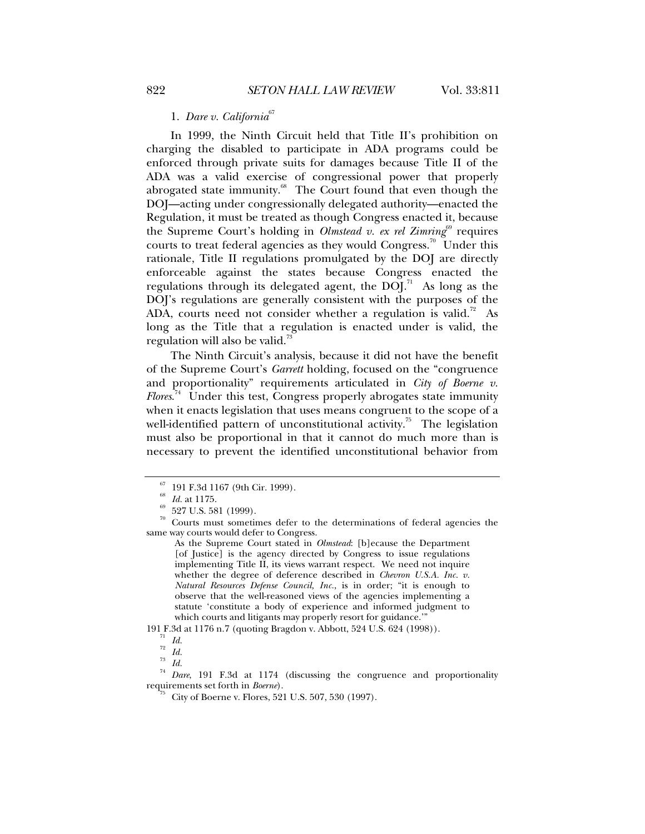### 1. *Dare v. California*<sup>67</sup>

In 1999, the Ninth Circuit held that Title II's prohibition on charging the disabled to participate in ADA programs could be enforced through private suits for damages because Title II of the ADA was a valid exercise of congressional power that properly abrogated state immunity. $68$  The Court found that even though the DOJ—acting under congressionally delegated authority—enacted the Regulation, it must be treated as though Congress enacted it, because the Supreme Court's holding in *Olmstead v. ex rel Zimring*<sup>69</sup> requires courts to treat federal agencies as they would Congress.<sup>70</sup> Under this rationale, Title II regulations promulgated by the DOJ are directly enforceable against the states because Congress enacted the regulations through its delegated agent, the  $DOI<sup>71</sup>$  As long as the DOJ's regulations are generally consistent with the purposes of the ADA, courts need not consider whether a regulation is valid.<sup>72</sup> As long as the Title that a regulation is enacted under is valid, the regulation will also be valid.<sup>73</sup>

The Ninth Circuit's analysis, because it did not have the benefit of the Supreme Court's *Garrett* holding, focused on the "congruence and proportionality" requirements articulated in *City of Boerne v. Flores*. 74 Under this test, Congress properly abrogates state immunity when it enacts legislation that uses means congruent to the scope of a well-identified pattern of unconstitutional activity.<sup>75</sup> The legislation must also be proportional in that it cannot do much more than is necessary to prevent the identified unconstitutional behavior from

 $^{67}_{68}$  191 F.3d 1167 (9th Cir. 1999).<br> $^{68}_{68}$  Id. at 1175.

 $^{69}$  527 U.S. 581 (1999).

 $70$  Courts must sometimes defer to the determinations of federal agencies the same way courts would defer to Congress.

As the Supreme Court stated in *Olmstead*: [b]ecause the Department [of Justice] is the agency directed by Congress to issue regulations implementing Title II, its views warrant respect. We need not inquire whether the degree of deference described in *Chevron U.S.A. Inc. v. Natural Resources Defense Council, Inc.*, is in order; "it is enough to observe that the well-reasoned views of the agencies implementing a statute 'constitute a body of experience and informed judgment to which courts and litigants may properly resort for guidance."

<sup>191</sup> F.3d at 1176 n.7 (quoting Bragdon v. Abbott, 524 U.S. 624 (1998)). 71 *Id.*

 $rac{72}{73}$  *Id.* 

 $rac{73}{74}$  *Id.* 

<sup>&</sup>lt;sup>14</sup> *Dare*, 191 F.3d at 1174 (discussing the congruence and proportionality requirements set forth in *Boerne*).

City of Boerne v. Flores, 521 U.S. 507, 530 (1997).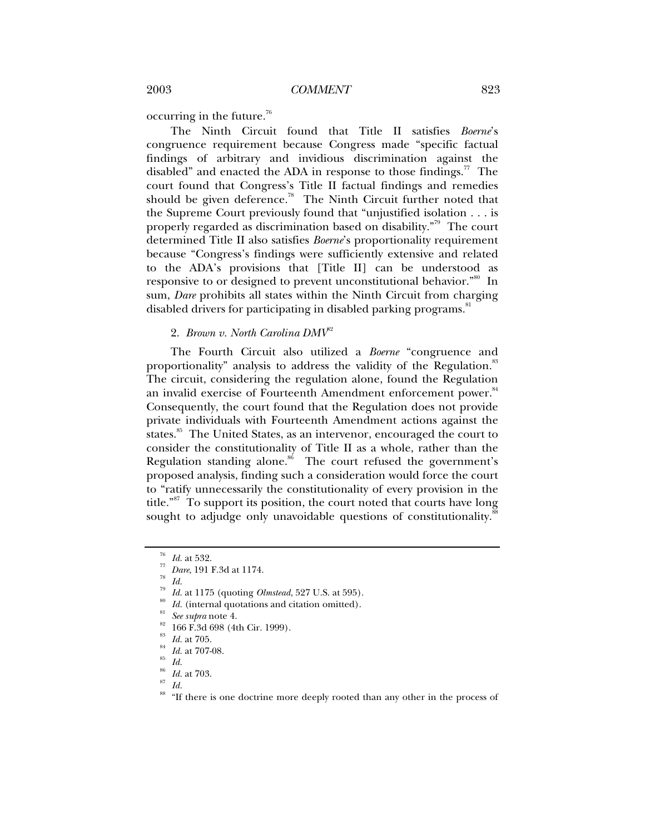occurring in the future.76

The Ninth Circuit found that Title II satisfies *Boerne*'s congruence requirement because Congress made "specific factual findings of arbitrary and invidious discrimination against the disabled" and enacted the ADA in response to those findings.<sup>77</sup> The court found that Congress's Title II factual findings and remedies should be given deference.<sup>78</sup> The Ninth Circuit further noted that the Supreme Court previously found that "unjustified isolation . . . is properly regarded as discrimination based on disability."<sup>79</sup> The court determined Title II also satisfies *Boerne*'s proportionality requirement because "Congress's findings were sufficiently extensive and related to the ADA's provisions that [Title II] can be understood as responsive to or designed to prevent unconstitutional behavior.<sup>"80</sup> In sum, *Dare* prohibits all states within the Ninth Circuit from charging disabled drivers for participating in disabled parking programs.<sup>81</sup>

### 2. *Brown v. North Carolina DMV*<sup>82</sup>

The Fourth Circuit also utilized a *Boerne* "congruence and proportionality" analysis to address the validity of the Regulation.<sup>83</sup> The circuit, considering the regulation alone, found the Regulation an invalid exercise of Fourteenth Amendment enforcement power.<sup>84</sup> Consequently, the court found that the Regulation does not provide private individuals with Fourteenth Amendment actions against the states.<sup>85</sup> The United States, as an intervenor, encouraged the court to consider the constitutionality of Title II as a whole, rather than the Regulation standing alone. $86$  The court refused the government's proposed analysis, finding such a consideration would force the court to "ratify unnecessarily the constitutionality of every provision in the title."<sup>87</sup> To support its position, the court noted that courts have long sought to adjudge only unavoidable questions of constitutionality.<sup>88</sup>

- *Id.* at 1175 (quoting *Olmstead*, 527 U.S. at 595).<br> *Id.* (internal quotations and citation omitted).<br> *See supra* note 4.<br>
166 F.3d 698 (4th Cir. 1999).
- 
- 
- 
- <sup>83</sup> *Id.* at 705. 84 *Id.* at 707-08. 85 *Id.*
- 
- <sup>86</sup> *Id.* at 703. 87 *Id.*

<sup>76</sup> *Id.* at 532. 77 *Dare*, 191 F.3d at 1174. 78 *Id.*

<sup>88 &</sup>quot;If there is one doctrine more deeply rooted than any other in the process of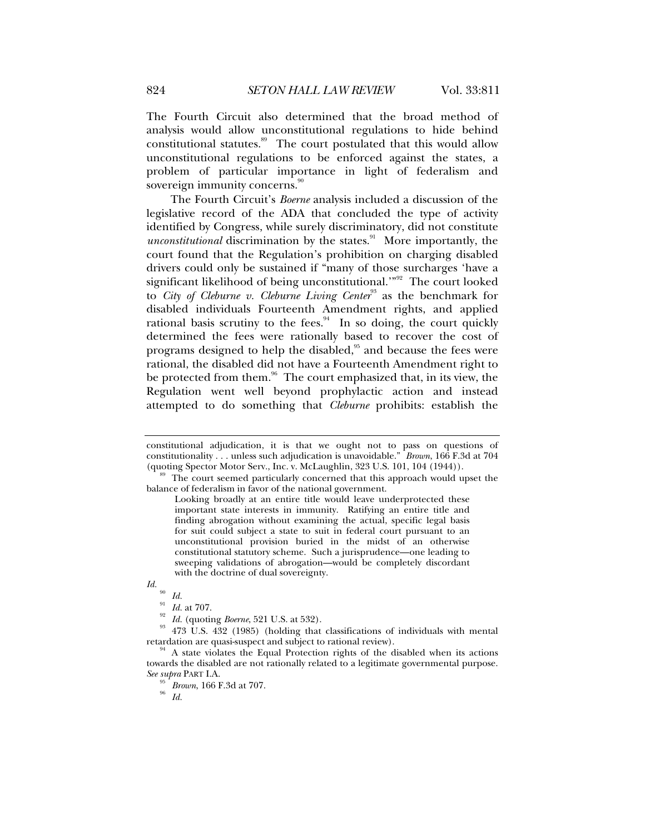The Fourth Circuit also determined that the broad method of analysis would allow unconstitutional regulations to hide behind constitutional statutes.<sup>89</sup> The court postulated that this would allow unconstitutional regulations to be enforced against the states, a problem of particular importance in light of federalism and sovereign immunity concerns.<sup>90</sup>

The Fourth Circuit's *Boerne* analysis included a discussion of the legislative record of the ADA that concluded the type of activity identified by Congress, while surely discriminatory, did not constitute *unconstitutional* discrimination by the states.<sup>91</sup> More importantly, the court found that the Regulation's prohibition on charging disabled drivers could only be sustained if "many of those surcharges 'have a significant likelihood of being unconstitutional."<sup>92</sup> The court looked to *City of Cleburne v. Cleburne Living Center*<sup>93</sup> as the benchmark for disabled individuals Fourteenth Amendment rights, and applied rational basis scrutiny to the fees. $94$  In so doing, the court quickly determined the fees were rationally based to recover the cost of programs designed to help the disabled,<sup>95</sup> and because the fees were rational, the disabled did not have a Fourteenth Amendment right to be protected from them.<sup>96</sup> The court emphasized that, in its view, the Regulation went well beyond prophylactic action and instead attempted to do something that *Cleburne* prohibits: establish the

constitutional adjudication, it is that we ought not to pass on questions of constitutionality . . . unless such adjudication is unavoidable." *Brown*, 166 F.3d at 704 (quoting Spector Motor Serv., Inc. v. McLaughlin, 323 U.S. 101, 104 (1944)).  $\frac{89}{100}$  The court seemed particularly concerned that this approach would upset the

balance of federalism in favor of the national government.

Looking broadly at an entire title would leave underprotected these important state interests in immunity. Ratifying an entire title and finding abrogation without examining the actual, specific legal basis for suit could subject a state to suit in federal court pursuant to an unconstitutional provision buried in the midst of an otherwise constitutional statutory scheme. Such a jurisprudence—one leading to sweeping validations of abrogation—would be completely discordant with the doctrine of dual sovereignty.

*Id.* <sup>90</sup> *Id. Id. Id.* at 707.

<sup>&</sup>lt;sup>92</sup> Id. (quoting *Boerne*, 521 U.S. at 532).<br><sup>93</sup> 473 U.S. 432 (1985) (holding that classifications of individuals with mental retardation are quasi-suspect and subject to rational review).

 $4<sup>4</sup>$  A state violates the Equal Protection rights of the disabled when its actions towards the disabled are not rationally related to a legitimate governmental purpose. *See supra* PART I.A. 95 *Brown*, 166 F.3d at 707. 96 *Id.*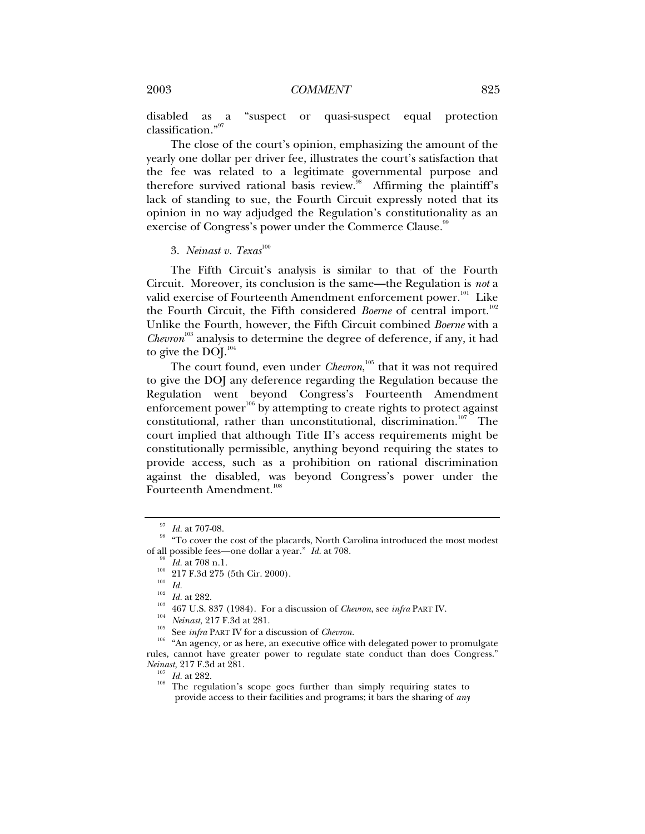disabled as a "suspect or quasi-suspect equal protection classification."97

The close of the court's opinion, emphasizing the amount of the yearly one dollar per driver fee, illustrates the court's satisfaction that the fee was related to a legitimate governmental purpose and therefore survived rational basis review.<sup>38</sup> Affirming the plaintiff's lack of standing to sue, the Fourth Circuit expressly noted that its opinion in no way adjudged the Regulation's constitutionality as an exercise of Congress's power under the Commerce Clause.<sup>99</sup>

### 3. *Neinast v. Texas*<sup>100</sup>

The Fifth Circuit's analysis is similar to that of the Fourth Circuit. Moreover, its conclusion is the same—the Regulation is *not* a valid exercise of Fourteenth Amendment enforcement power.<sup>101</sup> Like the Fourth Circuit, the Fifth considered *Boerne* of central import.<sup>102</sup> Unlike the Fourth, however, the Fifth Circuit combined *Boerne* with a *Chevron*<sup>103</sup> analysis to determine the degree of deference, if any, it had to give the DOJ. $^{104}$ 

The court found, even under *Chevron*,<sup>105</sup> that it was not required to give the DOJ any deference regarding the Regulation because the Regulation went beyond Congress's Fourteenth Amendment enforcement power<sup>106</sup> by attempting to create rights to protect against constitutional, rather than unconstitutional, discrimination.<sup>107</sup> The court implied that although Title II's access requirements might be constitutionally permissible, anything beyond requiring the states to provide access, such as a prohibition on rational discrimination against the disabled, was beyond Congress's power under the Fourteenth Amendment.<sup>108</sup>

<sup>&</sup>lt;sup>97</sup> *Id.* at 707-08.<br><sup>98</sup> "To cover the cost of the placards, North Carolina introduced the most modest of all possible fees—one dollar a year." *Id.* at 708.

<sup>&</sup>lt;sup>99</sup> *Id.* at 708 n.1.<br>
<sup>100</sup> 217 F.3d 275 (5th Cir. 2000).<br>
<sup>101</sup> *Id.*<br>
<sup>102</sup> *Id.* at 282.<br>
<sup>103</sup> 467 U.S. 837 (1984). For a discussion of *Chevron*, see *infra* PART IV.<br> *Neinast*, 217 F.3d at 281.<br>
<sup>105</sup> <sup>105</sup> See rules, cannot have greater power to regulate state conduct than does Congress."<br>Neinast, 217 F.3d at 281.

<sup>&</sup>lt;sup>107</sup> *Id.* at 282. 108 The regulation's scope goes further than simply requiring states to provide access to their facilities and programs; it bars the sharing of *any*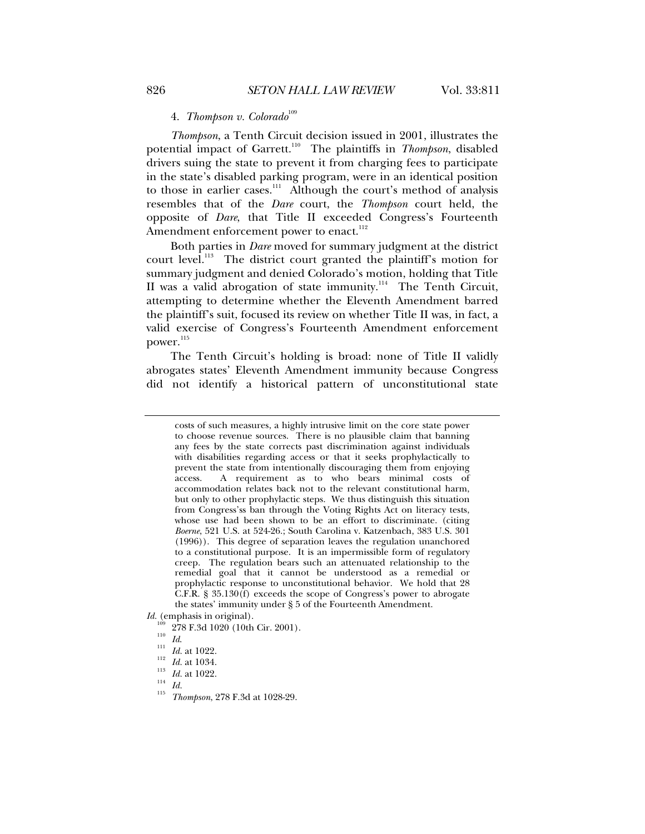# 4. *Thompson v. Colorado*<sup>109</sup>

*Thompson*, a Tenth Circuit decision issued in 2001, illustrates the potential impact of Garrett.<sup>110</sup> The plaintiffs in *Thompson*, disabled drivers suing the state to prevent it from charging fees to participate in the state's disabled parking program, were in an identical position to those in earlier cases.<sup>111</sup> Although the court's method of analysis resembles that of the *Dare* court, the *Thompson* court held, the opposite of *Dare*, that Title II exceeded Congress's Fourteenth Amendment enforcement power to enact.<sup>112</sup>

Both parties in *Dare* moved for summary judgment at the district court level.<sup>113</sup> The district court granted the plaintiff's motion for summary judgment and denied Colorado's motion, holding that Title II was a valid abrogation of state immunity.<sup>114</sup> The Tenth Circuit, attempting to determine whether the Eleventh Amendment barred the plaintiff's suit, focused its review on whether Title II was, in fact, a valid exercise of Congress's Fourteenth Amendment enforcement power.<sup>115</sup>

The Tenth Circuit's holding is broad: none of Title II validly abrogates states' Eleventh Amendment immunity because Congress did not identify a historical pattern of unconstitutional state

*Id.* (emphasis in original).

- 109 278 F.3d 1020 (10th Cir. 2001).<br>
110 *Id.*<br>
111 *Id.* at 1022.<br>
<sup>113</sup> *Id.* at 1022.<br>
<sup>114</sup> *Id.*<br>
<sup>115</sup> *Id.* 115 *Thompson*, 278 F.3d at 1028-29.
- 

costs of such measures, a highly intrusive limit on the core state power to choose revenue sources. There is no plausible claim that banning any fees by the state corrects past discrimination against individuals with disabilities regarding access or that it seeks prophylactically to prevent the state from intentionally discouraging them from enjoying access. A requirement as to who bears minimal costs of accommodation relates back not to the relevant constitutional harm, but only to other prophylactic steps. We thus distinguish this situation from Congress'ss ban through the Voting Rights Act on literacy tests, whose use had been shown to be an effort to discriminate. (citing *Boerne*, 521 U.S. at 524-26.; South Carolina v. Katzenbach, 383 U.S. 301 (1996)). This degree of separation leaves the regulation unanchored to a constitutional purpose. It is an impermissible form of regulatory creep. The regulation bears such an attenuated relationship to the remedial goal that it cannot be understood as a remedial or prophylactic response to unconstitutional behavior. We hold that 28 C.F.R. § 35.130(f) exceeds the scope of Congress's power to abrogate the states' immunity under § 5 of the Fourteenth Amendment.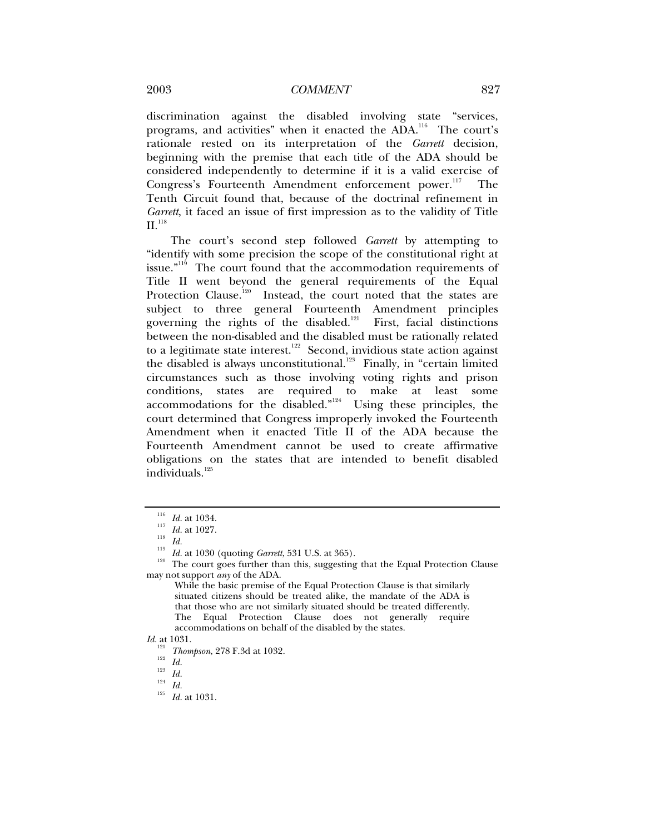discrimination against the disabled involving state "services, programs, and activities" when it enacted the  $A\ddot{D}A$ <sup>116</sup>. The court's rationale rested on its interpretation of the *Garrett* decision, beginning with the premise that each title of the ADA should be considered independently to determine if it is a valid exercise of Congress's Fourteenth Amendment enforcement power.<sup>117</sup> The Tenth Circuit found that, because of the doctrinal refinement in *Garrett*, it faced an issue of first impression as to the validity of Title  $II.$ <sup>118</sup>

The court's second step followed *Garrett* by attempting to "identify with some precision the scope of the constitutional right at issue."<sup>119</sup> The court found that the accommodation requirements of Title II went beyond the general requirements of the Equal Protection Clause.<sup>120</sup> Instead, the court noted that the states are subject to three general Fourteenth Amendment principles governing the rights of the disabled.<sup>121</sup> First, facial distinctions between the non-disabled and the disabled must be rationally related to a legitimate state interest.<sup>122</sup> Second, invidious state action against the disabled is always unconstitutional.<sup>123</sup> Finally, in "certain limited circumstances such as those involving voting rights and prison conditions, states are required to make at least some accommodations for the disabled."<sup>124</sup> Using these principles, the court determined that Congress improperly invoked the Fourteenth Amendment when it enacted Title II of the ADA because the Fourteenth Amendment cannot be used to create affirmative obligations on the states that are intended to benefit disabled individuals.<sup>125</sup>

<sup>&</sup>lt;sup>116</sup> *Id.* at 1034.<br><sup>117</sup> *Id.* at 1027.<br><sup>118</sup> *Id.* at 1030 (quoting *Garrett*, 531 U.S. at 365).<br><sup>120</sup> The court goes further than this, suggesting that the Equal Protection Clause may not support *any* of the ADA.

While the basic premise of the Equal Protection Clause is that similarly situated citizens should be treated alike, the mandate of the ADA is that those who are not similarly situated should be treated differently. The Equal Protection Clause does not generally require accommodations on behalf of the disabled by the states.

*Id.* at 1031.

<sup>121</sup> *Thompson*, 278 F.3d at 1032. 122 *Id.* <sup>123</sup> *Id.* <sup>124</sup> *Id.* <sup>125</sup> *Id.* at 1031.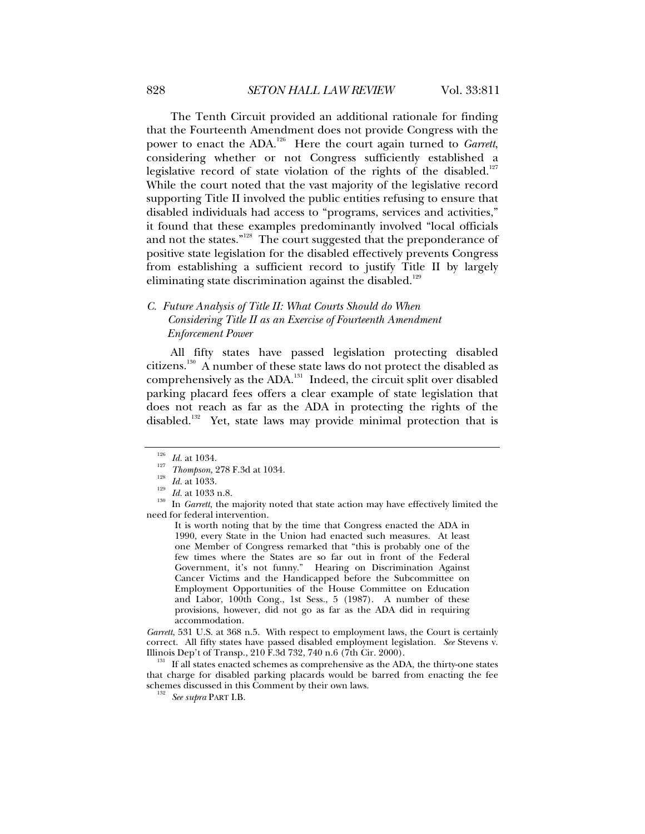The Tenth Circuit provided an additional rationale for finding that the Fourteenth Amendment does not provide Congress with the power to enact the ADA.<sup>126</sup> Here the court again turned to *Garrett*, considering whether or not Congress sufficiently established a legislative record of state violation of the rights of the disabled.<sup>127</sup> While the court noted that the vast majority of the legislative record supporting Title II involved the public entities refusing to ensure that disabled individuals had access to "programs, services and activities," it found that these examples predominantly involved "local officials and not the states."<sup>128</sup> The court suggested that the preponderance of positive state legislation for the disabled effectively prevents Congress from establishing a sufficient record to justify Title II by largely eliminating state discrimination against the disabled.<sup>129</sup>

# *C. Future Analysis of Title II: What Courts Should do When Considering Title II as an Exercise of Fourteenth Amendment Enforcement Power*

All fifty states have passed legislation protecting disabled citizens.130 A number of these state laws do not protect the disabled as comprehensively as the ADA.<sup>131</sup> Indeed, the circuit split over disabled parking placard fees offers a clear example of state legislation that does not reach as far as the ADA in protecting the rights of the disabled.<sup>132</sup> Yet, state laws may provide minimal protection that is

*Garrett*, 531 U.S. at 368 n.5. With respect to employment laws, the Court is certainly correct. All fifty states have passed disabled employment legislation. *See* Stevens v.

 $131$  If all states enacted schemes as comprehensive as the ADA, the thirty-one states that charge for disabled parking placards would be barred from enacting the fee schemes discussed in this Comment by their own laws. 132 *See supra* PART I.B.

<sup>126</sup> *Id.* at 1034.<br>
1<sup>227</sup> *Thompson*, 278 F.3d at 1034.<br>
<sup>128</sup> *Id.* at 1033.<br> *Id.* at 1033 n.8.<br>
In *Garrett*, the majority noted that state action may have effectively limited the need for federal intervention.

It is worth noting that by the time that Congress enacted the ADA in 1990, every State in the Union had enacted such measures. At least one Member of Congress remarked that "this is probably one of the few times where the States are so far out in front of the Federal Government, it's not funny." Hearing on Discrimination Against Cancer Victims and the Handicapped before the Subcommittee on Employment Opportunities of the House Committee on Education and Labor, 100th Cong., 1st Sess., 5 (1987). A number of these provisions, however, did not go as far as the ADA did in requiring accommodation.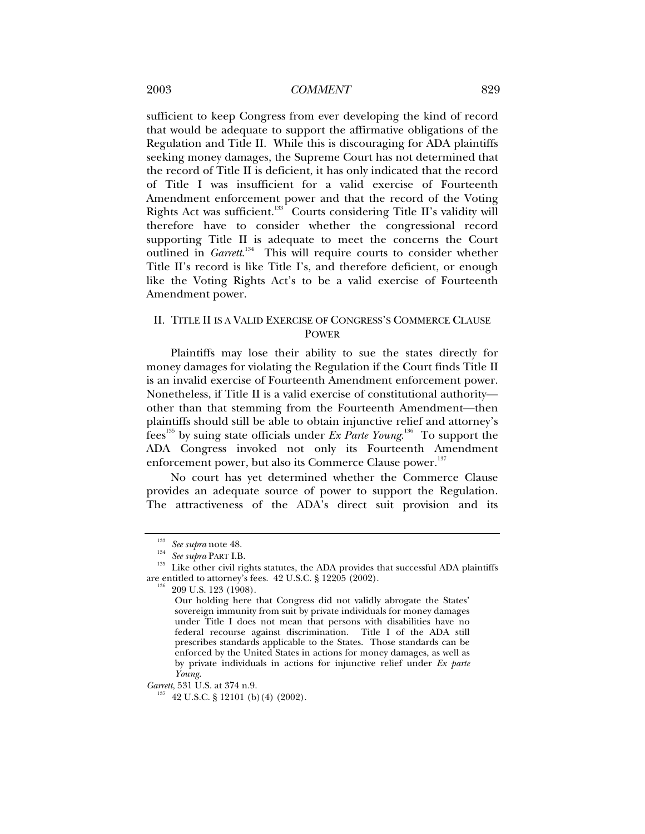### 2003 *COMMENT* 829

sufficient to keep Congress from ever developing the kind of record that would be adequate to support the affirmative obligations of the Regulation and Title II. While this is discouraging for ADA plaintiffs seeking money damages, the Supreme Court has not determined that the record of Title II is deficient, it has only indicated that the record of Title I was insufficient for a valid exercise of Fourteenth Amendment enforcement power and that the record of the Voting Rights Act was sufficient.<sup>133</sup> Courts considering Title II's validity will therefore have to consider whether the congressional record supporting Title II is adequate to meet the concerns the Court outlined in *Garrett*.<sup>134</sup> This will require courts to consider whether Title II's record is like Title I's, and therefore deficient, or enough like the Voting Rights Act's to be a valid exercise of Fourteenth Amendment power.

### II. TITLE II IS A VALID EXERCISE OF CONGRESS'S COMMERCE CLAUSE POWER

Plaintiffs may lose their ability to sue the states directly for money damages for violating the Regulation if the Court finds Title II is an invalid exercise of Fourteenth Amendment enforcement power. Nonetheless, if Title II is a valid exercise of constitutional authority other than that stemming from the Fourteenth Amendment—then plaintiffs should still be able to obtain injunctive relief and attorney's fees135 by suing state officials under *Ex Parte Young*. 136 To support the ADA Congress invoked not only its Fourteenth Amendment enforcement power, but also its Commerce Clause power.<sup>137</sup>

No court has yet determined whether the Commerce Clause provides an adequate source of power to support the Regulation. The attractiveness of the ADA's direct suit provision and its

<sup>&</sup>lt;sup>133</sup> See supra note 48.<br><sup>134</sup> See supra PART I.B.<br><sup>135</sup> Like other civil rights statutes, the ADA provides that successful ADA plaintiffs are entitled to attorney's fees. 42 U.S.C. § 12205 (2002). 136 209 U.S. 123 (1908).

Our holding here that Congress did not validly abrogate the States' sovereign immunity from suit by private individuals for money damages under Title I does not mean that persons with disabilities have no federal recourse against discrimination. Title I of the ADA still prescribes standards applicable to the States. Those standards can be enforced by the United States in actions for money damages, as well as by private individuals in actions for injunctive relief under *Ex parte Young*.

*Garrett*, 531 U.S. at 374 n.9.<br><sup>137</sup> 42 U.S.C. § 12101 (b)(4) (2002).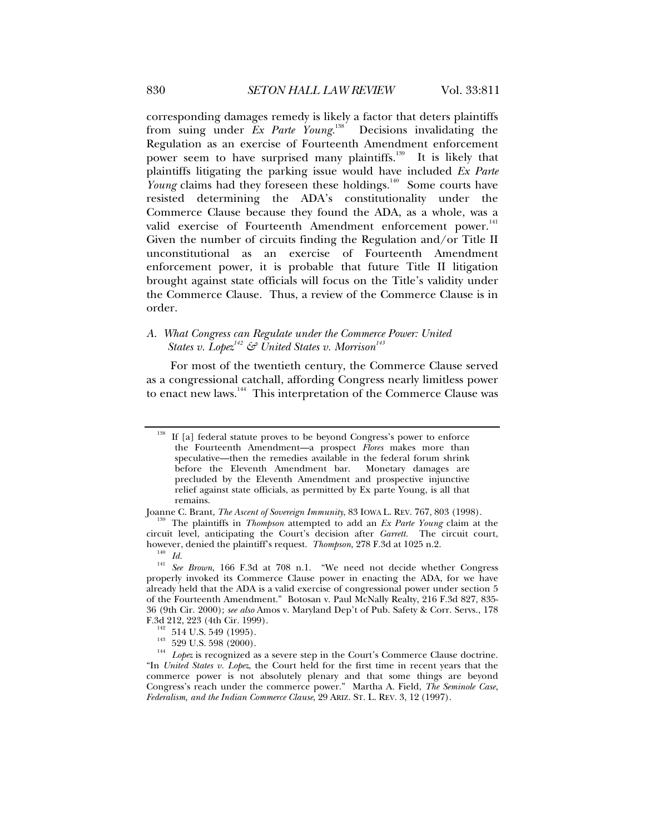corresponding damages remedy is likely a factor that deters plaintiffs from suing under *Ex Parte Young.*<sup>138</sup> Decisions invalidating the Regulation as an exercise of Fourteenth Amendment enforcement power seem to have surprised many plaintiffs.<sup>139</sup> It is likely that plaintiffs litigating the parking issue would have included *Ex Parte Young* claims had they foreseen these holdings.<sup>140</sup> Some courts have resisted determining the ADA's constitutionality under the Commerce Clause because they found the ADA, as a whole, was a valid exercise of Fourteenth Amendment enforcement power.<sup>141</sup> Given the number of circuits finding the Regulation and/or Title II unconstitutional as an exercise of Fourteenth Amendment enforcement power, it is probable that future Title II litigation brought against state officials will focus on the Title's validity under the Commerce Clause. Thus, a review of the Commerce Clause is in order.

### *A. What Congress can Regulate under the Commerce Power: United States v. Lopez*<sup> $142$ </sup>  $\mathcal{C}$  United States v. Morrison<sup>143</sup>

For most of the twentieth century, the Commerce Clause served as a congressional catchall, affording Congress nearly limitless power to enact new laws.<sup>144</sup> This interpretation of the Commerce Clause was

If [a] federal statute proves to be beyond Congress's power to enforce the Fourteenth Amendment—a prospect *Flores* makes more than speculative—then the remedies available in the federal forum shrink before the Eleventh Amendment bar. Monetary damages are precluded by the Eleventh Amendment and prospective injunctive relief against state officials, as permitted by Ex parte Young, is all that remains.

Joanne C. Brant, *The Ascent of Sovereign Immunity*, 83 IOWA L. REV. 767, 803 (1998). 139 The plaintiffs in *Thompson* attempted to add an *Ex Parte Young* claim at the circuit level, anticipating the Court's decision after *Garrett.* The circuit court,

however, denied the plantstone of the plantstone plants request. *The Id.* 141 See Brown, 166 F.3d at 708 n.1. "We need not decide whether Congress properly invoked its Commerce Clause power in enacting the ADA, for we have already held that the ADA is a valid exercise of congressional power under section 5 of the Fourteenth Amendment." Botosan v. Paul McNally Realty, 216 F.3d 827, 835- 36 (9th Cir. 2000); *see also* Amos v. Maryland Dep't of Pub. Safety & Corr. Servs., 178

F.3d 212, 223 (4th Cir. 1999). 142 514 U.S. 549 (1995). 143 529 U.S. 598 (2000). 144 *Lopez* is recognized as a severe step in the Court's Commerce Clause doctrine. "In *United States v. Lopez*, the Court held for the first time in recent years that the commerce power is not absolutely plenary and that some things are beyond Congress's reach under the commerce power." Martha A. Field, *The Seminole Case, Federalism, and the Indian Commerce Clause*, 29 ARIZ. ST. L. REV. 3, 12 (1997).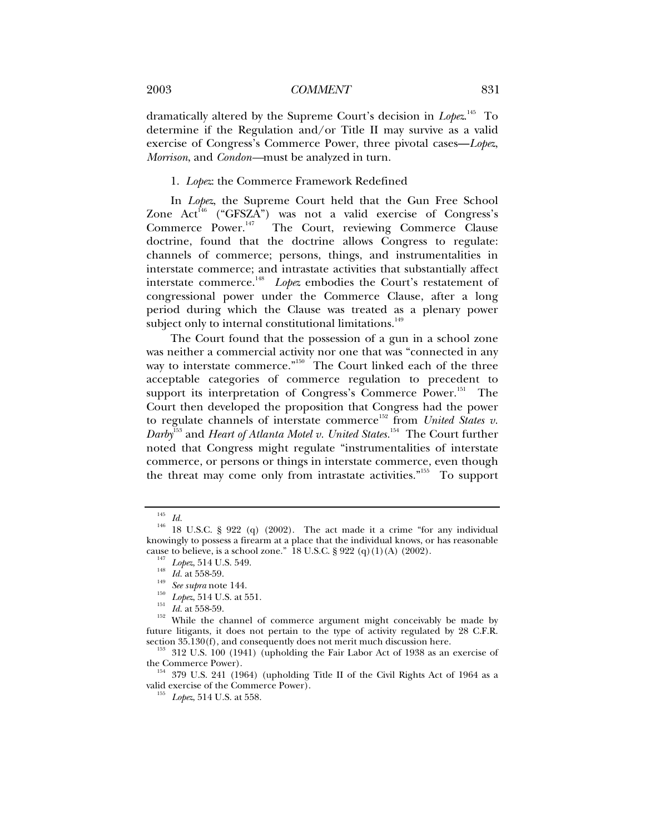dramatically altered by the Supreme Court's decision in *Lopez*. 145 To determine if the Regulation and/or Title II may survive as a valid exercise of Congress's Commerce Power, three pivotal cases—*Lopez*, *Morrison*, and *Condon—*must be analyzed in turn.

### 1. *Lopez*: the Commerce Framework Redefined

In *Lopez*, the Supreme Court held that the Gun Free School Zone  $Act^{146}$  ("GFSZA") was not a valid exercise of Congress's Commerce Power.<sup>147</sup> The Court, reviewing Commerce Clause doctrine, found that the doctrine allows Congress to regulate: channels of commerce; persons, things, and instrumentalities in interstate commerce; and intrastate activities that substantially affect interstate commerce.<sup>148</sup> *Lopez* embodies the Court's restatement of congressional power under the Commerce Clause, after a long period during which the Clause was treated as a plenary power subject only to internal constitutional limitations.<sup>149</sup>

The Court found that the possession of a gun in a school zone was neither a commercial activity nor one that was "connected in any way to interstate commerce."<sup>150</sup> The Court linked each of the three acceptable categories of commerce regulation to precedent to support its interpretation of Congress's Commerce Power.<sup>151</sup> The Court then developed the proposition that Congress had the power to regulate channels of interstate commerce<sup>152</sup> from *United States v*. *Darby*153 and *Heart of Atlanta Motel v. United States.*154 The Court further noted that Congress might regulate "instrumentalities of interstate commerce, or persons or things in interstate commerce, even though the threat may come only from intrastate activities."<sup>155</sup> To support

the Commerce Power).  $154$  379 U.S. 241 (1964) (upholding Title II of the Civil Rights Act of 1964 as a valid exercise of the Commerce Power). 155 *Lopez*, 514 U.S. at 558.

<sup>145</sup> *Id.* 146 18 U.S.C. § 922 (q) (2002). The act made it a crime "for any individual knowingly to possess a firearm at a place that the individual knows, or has reasonable cause to believe, is a school zone." 18 U.S.C.  $\S 922 (q)(1)(A) (2002)$ .

 $L_{147}$ <br>  $L_{148}$  Lopez, 514 U.S. 549.<br>
<sup>143</sup><br>
<sup>143</sup><br> *Lopez*, 514 U.S. 349.<br> *See supra* note 144.<br>
<sup>150</sup><br> *Lopez*, 514 U.S. at 551.<br> *Id.* at 558-59.<br>
While the channel of commerce argument might conceivably be made by future litigants, it does not pertain to the type of activity regulated by 28 C.F.R. section 35.130(f), and consequently does not merit much discussion here.

<sup>&</sup>lt;sup>153</sup> 312 U.S. 100 (1941) (upholding the Fair Labor Act of 1938 as an exercise of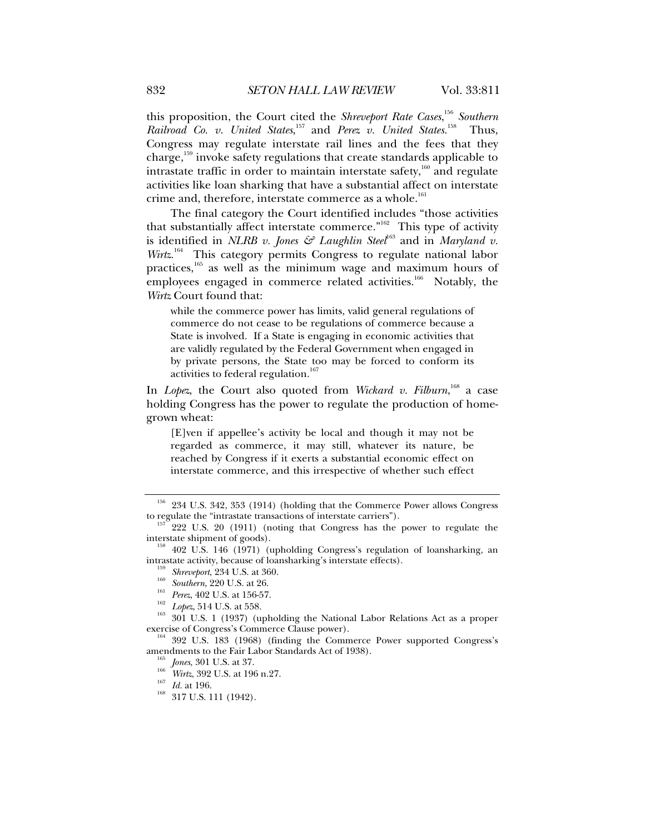this proposition, the Court cited the *Shreveport Rate Cases*, <sup>156</sup> *Southern Railroad Co. v. United States*, 157 and *Perez v. United States.*158 Thus, Congress may regulate interstate rail lines and the fees that they charge,159 invoke safety regulations that create standards applicable to intrastate traffic in order to maintain interstate safety, $160$  and regulate activities like loan sharking that have a substantial affect on interstate crime and, therefore, interstate commerce as a whole.<sup>161</sup>

The final category the Court identified includes "those activities that substantially affect interstate commerce."<sup>162</sup> This type of activity is identified in *NLRB v. Jones & Laughlin Steel*<sup>163</sup> and in *Maryland v. Wirtz*.<sup>164</sup> This category permits Congress to regulate national labor practices,<sup>165</sup> as well as the minimum wage and maximum hours of employees engaged in commerce related activities.<sup>166</sup> Notably, the *Wirtz* Court found that:

while the commerce power has limits, valid general regulations of commerce do not cease to be regulations of commerce because a State is involved. If a State is engaging in economic activities that are validly regulated by the Federal Government when engaged in by private persons, the State too may be forced to conform its activities to federal regulation.<sup>1</sup>

In *Lopez*, the Court also quoted from *Wickard v. Filburn*, 168 a case holding Congress has the power to regulate the production of homegrown wheat:

[E]ven if appellee's activity be local and though it may not be regarded as commerce, it may still, whatever its nature, be reached by Congress if it exerts a substantial economic effect on interstate commerce, and this irrespective of whether such effect

- 
- 
- 
- 

<sup>159</sup> Shreveport, 234 U.S. at 360.<br>
<sup>160</sup> Southern, 220 U.S. at 26.<br>
<sup>161</sup> Perez, 402 U.S. at 156-57.<br>
<sup>162</sup> Lopez, 514 U.S. at 558.<br>
<sup>163</sup> 301 U.S. 1 (1937) (upholding the National Labor Relations Act as a proper exercis

 $^{164}$  392 U.S. 183 (1968) (finding the Commerce Power supported Congress's amendments to the Fair Labor Standards Act of 1938).

<sup>165</sup> *Jones*, 301 U.S. at 37.<br><sup>166</sup> *Wirtz*, 392 U.S. at 196 n.27.<br><sup>167</sup> *Id.* at 196.<br><sup>168</sup> 317 U.S. 111 (1942).

 $156$  234 U.S. 342, 353 (1914) (holding that the Commerce Power allows Congress to regulate the "intrastate transactions of interstate carriers").

 $157^{\circ}$  222 U.S. 20 (1911) (noting that Congress has the power to regulate the interstate shipment of goods).

<sup>&</sup>lt;sup>158</sup> 402 U.S. 146 (1971) (upholding Congress's regulation of loansharking, an intrastate activity, because of loansharking's interstate effects).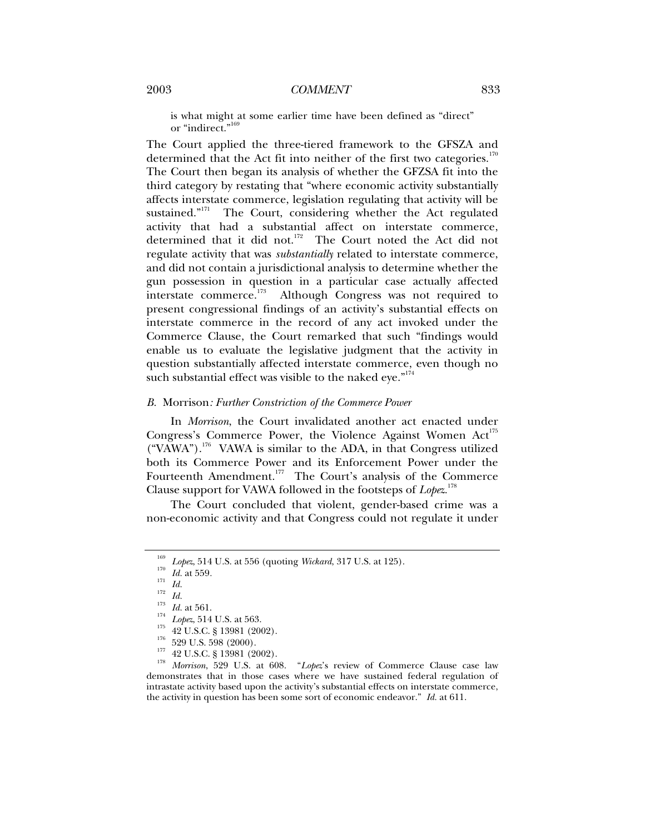is what might at some earlier time have been defined as "direct" or "indirect."<sup>16</sup>

The Court applied the three-tiered framework to the GFSZA and determined that the Act fit into neither of the first two categories.<sup>170</sup> The Court then began its analysis of whether the GFZSA fit into the third category by restating that "where economic activity substantially affects interstate commerce, legislation regulating that activity will be sustained."<sup>171</sup> The Court, considering whether the Act regulated activity that had a substantial affect on interstate commerce, determined that it did not.<sup>172</sup> The Court noted the Act did not regulate activity that was *substantially* related to interstate commerce, and did not contain a jurisdictional analysis to determine whether the gun possession in question in a particular case actually affected<br>interstate commerce.<sup>173</sup> Although Congress was not required to Although Congress was not required to present congressional findings of an activity's substantial effects on interstate commerce in the record of any act invoked under the Commerce Clause, the Court remarked that such "findings would enable us to evaluate the legislative judgment that the activity in question substantially affected interstate commerce, even though no such substantial effect was visible to the naked eye."<sup>174</sup>

#### *B.* Morrison*: Further Constriction of the Commerce Power*

In *Morrison*, the Court invalidated another act enacted under Congress's Commerce Power, the Violence Against Women Act<sup>175</sup>  $("VAWA")$ <sup>176</sup> VAWA is similar to the ADA, in that Congress utilized both its Commerce Power and its Enforcement Power under the Fourteenth Amendment.<sup>177</sup> The Court's analysis of the Commerce Clause support for VAWA followed in the footsteps of *Lopez.*<sup>178</sup>

The Court concluded that violent, gender-based crime was a non-economic activity and that Congress could not regulate it under

<sup>&</sup>lt;sup>169</sup> Lopez, 514 U.S. at 556 (quoting *Wickard*, 317 U.S. at 125).<br>
<sup>170</sup> *Id.* at 559.<br>
<sup>171</sup> *Id.*<br>
<sup>172</sup> *Id.*<br>
<sup>173</sup> *Id.*<br> *Lopez*, 514 U.S. at 563.<br>
<sup>175</sup> 42 U.S.C. § 13981 (2002).<br>
<sup>176</sup> 42 U.S.C. § 13981 (2002).<br>
<sup></sup> demonstrates that in those cases where we have sustained federal regulation of intrastate activity based upon the activity's substantial effects on interstate commerce, the activity in question has been some sort of economic endeavor." *Id.* at 611.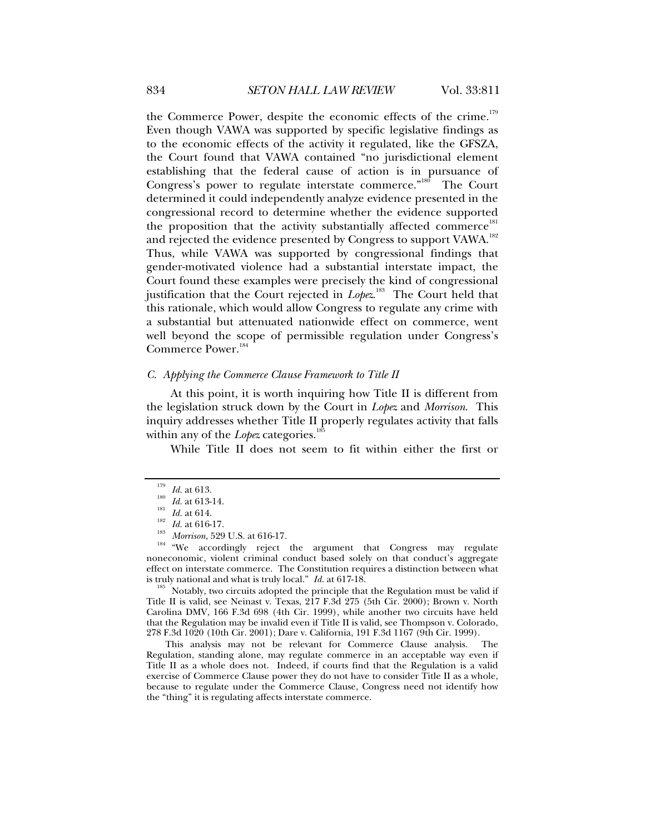the Commerce Power, despite the economic effects of the crime.<sup>179</sup> Even though VAWA was supported by specific legislative findings as to the economic effects of the activity it regulated, like the GFSZA, the Court found that VAWA contained "no jurisdictional element establishing that the federal cause of action is in pursuance of Congress's power to regulate interstate commerce."<sup>180</sup> The Court determined it could independently analyze evidence presented in the congressional record to determine whether the evidence supported the proposition that the activity substantially affected commerce<sup>181</sup> and rejected the evidence presented by Congress to support VAWA.<sup>182</sup> Thus, while VAWA was supported by congressional findings that gender-motivated violence had a substantial interstate impact, the Court found these examples were precisely the kind of congressional justification that the Court rejected in *Lope*z.<sup>183</sup> The Court held that this rationale, which would allow Congress to regulate any crime with a substantial but attenuated nationwide effect on commerce, went well beyond the scope of permissible regulation under Congress's Commerce Power.<sup>184</sup>

#### *C. Applying the Commerce Clause Framework to Title II*

At this point, it is worth inquiring how Title II is different from the legislation struck down by the Court in *Lopez* and *Morrison*. This inquiry addresses whether Title II properly regulates activity that falls within any of the *Lopez* categories.<sup>1</sup>

While Title II does not seem to fit within either the first or

<sup>185</sup> Notably, two circuits adopted the principle that the Regulation must be valid if Title II is valid, see Neinast v. Texas, 217 F.3d 275 (5th Cir. 2000); Brown v. North Carolina DMV, 166 F.3d 698 (4th Cir. 1999), while another two circuits have held that the Regulation may be invalid even if Title II is valid, see Thompson v. Colorado, 278 F.3d 1020 (10th Cir. 2001); Dare v. California, 191 F.3d 1167 (9th Cir. 1999).

This analysis may not be relevant for Commerce Clause analysis. The Regulation, standing alone, may regulate commerce in an acceptable way even if Title II as a whole does not. Indeed, if courts find that the Regulation is a valid exercise of Commerce Clause power they do not have to consider Title II as a whole, because to regulate under the Commerce Clause, Congress need not identify how the "thing" it is regulating affects interstate commerce.

<sup>&</sup>lt;sup>179</sup> *Id.* at 613.<br>
<sup>180</sup> *Id.* at 613-14.<br>
<sup>181</sup> *Id.* at 616-17.<br>
<sup>183</sup> *Morrison*, 529 U.S. at 616-17.<br>
<sup>184</sup> "We accordingly reject the argument that Congress may regulate noneconomic, violent criminal conduct based solely on that conduct's aggregate effect on interstate commerce. The Constitution requires a distinction between what is truly national and what is truly local."  $Id$  at 617-18.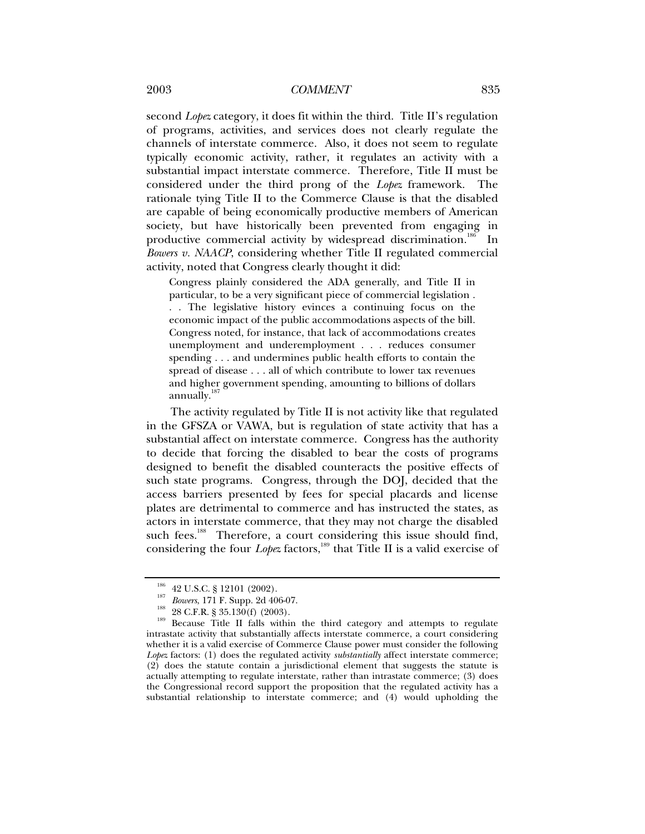second *Lopez* category, it does fit within the third. Title II's regulation of programs, activities, and services does not clearly regulate the channels of interstate commerce. Also, it does not seem to regulate typically economic activity, rather, it regulates an activity with a substantial impact interstate commerce. Therefore, Title II must be considered under the third prong of the *Lopez* framework. The rationale tying Title II to the Commerce Clause is that the disabled are capable of being economically productive members of American society, but have historically been prevented from engaging in productive commercial activity by widespread discrimination.<sup>186</sup> In *Bowers v. NAACP*, considering whether Title II regulated commercial activity, noted that Congress clearly thought it did:

Congress plainly considered the ADA generally, and Title II in particular, to be a very significant piece of commercial legislation . . . The legislative history evinces a continuing focus on the economic impact of the public accommodations aspects of the bill. Congress noted, for instance, that lack of accommodations creates unemployment and underemployment . . . reduces consumer spending . . . and undermines public health efforts to contain the spread of disease . . . all of which contribute to lower tax revenues and higher government spending, amounting to billions of dollars annually.<sup>187</sup>

The activity regulated by Title II is not activity like that regulated in the GFSZA or VAWA, but is regulation of state activity that has a substantial affect on interstate commerce. Congress has the authority to decide that forcing the disabled to bear the costs of programs designed to benefit the disabled counteracts the positive effects of such state programs. Congress, through the DOJ, decided that the access barriers presented by fees for special placards and license plates are detrimental to commerce and has instructed the states, as actors in interstate commerce, that they may not charge the disabled such fees.<sup>188</sup> Therefore, a court considering this issue should find, considering the four *Lopez* factors,<sup>189</sup> that Title II is a valid exercise of

<sup>&</sup>lt;sup>186</sup> 42 U.S.C. § 12101 (2002).<br><sup>187</sup> *Bowers*, 171 F. Supp. 2d 406-07.<br><sup>188</sup> 28 C.F.R. § 35.130(f) (2003).<br>Because Title II falls within the third category and attempts to regulate intrastate activity that substantially affects interstate commerce, a court considering whether it is a valid exercise of Commerce Clause power must consider the following Lopez factors: (1) does the regulated activity *substantially* affect interstate commerce; (2) does the statute contain a jurisdictional element that suggests the statute is actually attempting to regulate interstate, rather than intrastate commerce; (3) does the Congressional record support the proposition that the regulated activity has a substantial relationship to interstate commerce; and (4) would upholding the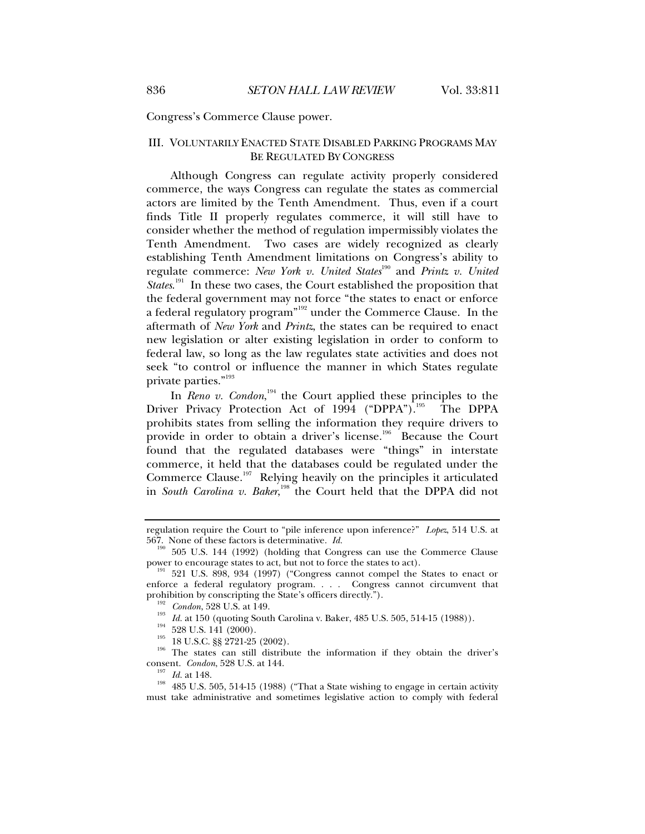Congress's Commerce Clause power.

### III. VOLUNTARILY ENACTED STATE DISABLED PARKING PROGRAMS MAY BE REGULATED BY CONGRESS

Although Congress can regulate activity properly considered commerce, the ways Congress can regulate the states as commercial actors are limited by the Tenth Amendment. Thus, even if a court finds Title II properly regulates commerce, it will still have to consider whether the method of regulation impermissibly violates the Tenth Amendment. Two cases are widely recognized as clearly establishing Tenth Amendment limitations on Congress's ability to regulate commerce: *New York v. United States*<sup>190</sup> and *Printz v. United States*.<sup>191</sup> In these two cases, the Court established the proposition that the federal government may not force "the states to enact or enforce a federal regulatory program"<sup>192</sup> under the Commerce Clause. In the aftermath of *New York* and *Printz*, the states can be required to enact new legislation or alter existing legislation in order to conform to federal law, so long as the law regulates state activities and does not seek "to control or influence the manner in which States regulate private parties."<sup>193</sup>

In *Reno v. Condon*,<sup>194</sup> the Court applied these principles to the Driver Privacy Protection Act of 1994 ("DPPA").<sup>195</sup> The DPPA prohibits states from selling the information they require drivers to provide in order to obtain a driver's license.<sup>196</sup> Because the Court found that the regulated databases were "things" in interstate commerce, it held that the databases could be regulated under the Commerce Clause.<sup>197</sup> Relying heavily on the principles it articulated in *South Carolina v. Baker*,<sup>198</sup> the Court held that the DPPA did not

<sup>192</sup> *Condon*, 528 U.S. at 149.<br>
<sup>193</sup> *Id.* at 150 (quoting South Carolina v. Baker, 485 U.S. 505, 514-15 (1988)).<br>
<sup>194</sup> 528 U.S. 141 (2000).<br>
<sup>195</sup> 18 U.S.C. §§ 2721-25 (2002).<br>
The states can still distribute the inf

regulation require the Court to "pile inference upon inference?" *Lopez*, 514 U.S. at 567. None of these factors is determinative. *Id.*<br><sup>190</sup> EQE J15, 144 (1990),  $9 \times 1000$ 

<sup>505</sup> U.S. 144 (1992) (holding that Congress can use the Commerce Clause power to encourage states to act, but not to force the states to act).<br><sup>191</sup> 521 U.S. 898, 934 (1997) ("Congress cannot compel the States to enact or

enforce a federal regulatory program. . . . Congress cannot circumvent that prohibition by conscripting the State's officers directly.").

consent. *Condon*, 528 U.S. at 144.<br><sup>197</sup> *Id.* at 148.<br><sup>198</sup> 485 U.S. 505, 514-15 (1988) ("That a State wishing to engage in certain activity must take administrative and sometimes legislative action to comply with federal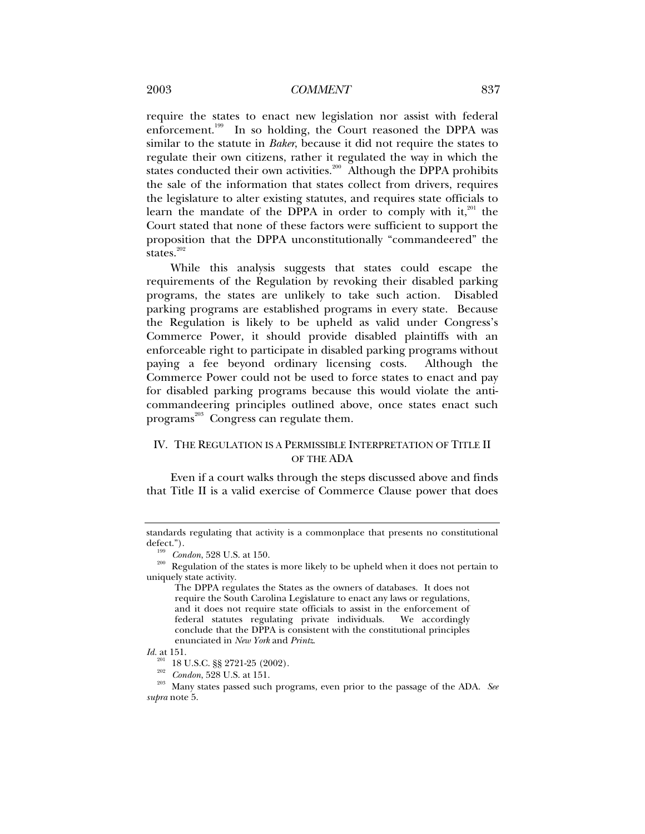### 2003 *COMMENT* 837

require the states to enact new legislation nor assist with federal enforcement.<sup>199</sup> In so holding, the Court reasoned the DPPA was similar to the statute in *Baker*, because it did not require the states to regulate their own citizens, rather it regulated the way in which the states conducted their own activities.<sup>200</sup> Although the DPPA prohibits the sale of the information that states collect from drivers, requires the legislature to alter existing statutes, and requires state officials to learn the mandate of the DPPA in order to comply with it,<sup>201</sup> the Court stated that none of these factors were sufficient to support the proposition that the DPPA unconstitutionally "commandeered" the states. $202$ 

While this analysis suggests that states could escape the requirements of the Regulation by revoking their disabled parking programs, the states are unlikely to take such action. Disabled parking programs are established programs in every state. Because the Regulation is likely to be upheld as valid under Congress's Commerce Power, it should provide disabled plaintiffs with an enforceable right to participate in disabled parking programs without paying a fee beyond ordinary licensing costs. Although the Commerce Power could not be used to force states to enact and pay for disabled parking programs because this would violate the anticommandeering principles outlined above, once states enact such programs<sup>203</sup> Congress can regulate them.

### IV. THE REGULATION IS A PERMISSIBLE INTERPRETATION OF TITLE II OF THE ADA

Even if a court walks through the steps discussed above and finds that Title II is a valid exercise of Commerce Clause power that does

standards regulating that activity is a commonplace that presents no constitutional

defect.").<br><sup>199</sup> *Condon*, 528 U.S. at 150.<br><sup>200</sup> Regulation of the states is more likely to be upheld when it does not pertain to uniquely state activity.

The DPPA regulates the States as the owners of databases. It does not require the South Carolina Legislature to enact any laws or regulations, and it does not require state officials to assist in the enforcement of federal statutes regulating private individuals. We accordingly conclude that the DPPA is consistent with the constitutional principles enunciated in *New York* and *Printz*.

*Id.* at 151.<br><sup>201</sup> 18 U.S.C. §§ 2721-25 (2002).

<sup>&</sup>lt;sup>202</sup> Condon, 528 U.S. at 151. 203 Many states passed such programs, even prior to the passage of the ADA. *See*  $\frac{203}{203}$ *supra* note 5.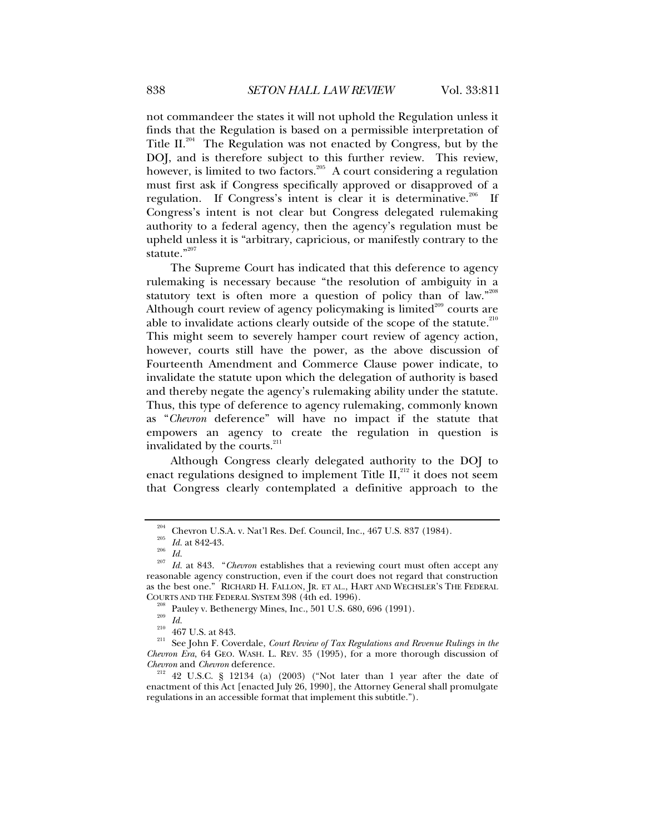not commandeer the states it will not uphold the Regulation unless it finds that the Regulation is based on a permissible interpretation of Title  $II.^{204}$  The Regulation was not enacted by Congress, but by the DOJ, and is therefore subject to this further review. This review, however, is limited to two factors.<sup>205</sup> A court considering a regulation must first ask if Congress specifically approved or disapproved of a regulation. If Congress's intent is clear it is determinative.<sup>206</sup> If Congress's intent is not clear but Congress delegated rulemaking authority to a federal agency, then the agency's regulation must be upheld unless it is "arbitrary, capricious, or manifestly contrary to the statute."207

The Supreme Court has indicated that this deference to agency rulemaking is necessary because "the resolution of ambiguity in a statutory text is often more a question of policy than of law." $208$ Although court review of agency policymaking is limited $^{209}$  courts are able to invalidate actions clearly outside of the scope of the statute. $^{210}$ This might seem to severely hamper court review of agency action, however, courts still have the power, as the above discussion of Fourteenth Amendment and Commerce Clause power indicate, to invalidate the statute upon which the delegation of authority is based and thereby negate the agency's rulemaking ability under the statute. Thus, this type of deference to agency rulemaking, commonly known as "*Chevron* deference" will have no impact if the statute that empowers an agency to create the regulation in question is invalidated by the courts.<sup>211</sup>

Although Congress clearly delegated authority to the DOJ to enact regulations designed to implement Title  $II$ ,<sup>212</sup> it does not seem that Congress clearly contemplated a definitive approach to the

<sup>&</sup>lt;sup>204</sup> Chevron U.S.A. v. Nat'l Res. Def. Council, Inc., 467 U.S. 837 (1984).<br><sup>205</sup> *Id.* at 842-43.<br><sup>205</sup> *Id.* at 843. "*Chevron* establishes that a reviewing court must often accept any<br><sup>207</sup> *Id.* at 843. "*Chevron* esta reasonable agency construction, even if the court does not regard that construction as the best one." RICHARD H. FALLON, JR. ET AL., HART AND WECHSLER'S THE FEDERAL COURTS AND THE FEDERAL SYSTEM 398 (4th ed. 1996).

<sup>&</sup>lt;sup>208</sup> Pauley v. Bethenergy Mines, Inc., 501 U.S. 680, 696 (1991).<br><sup>210</sup> *Id.*<br><sup>210</sup> 467 U.S. at 843.<br><sup>211</sup> See John F. Coverdale, *Court Review of Tax Regulations and Revenue Rulings in the Chevron Era*, 64 GEO. WASH. L. REV. 35 (1995), for a more thorough discussion of

*Chevron* and *Chevron* deference. 212 42 U.S.C. § 12134 (a) (2003) ("Not later than 1 year after the date of enactment of this Act [enacted July 26, 1990], the Attorney General shall promulgate regulations in an accessible format that implement this subtitle.").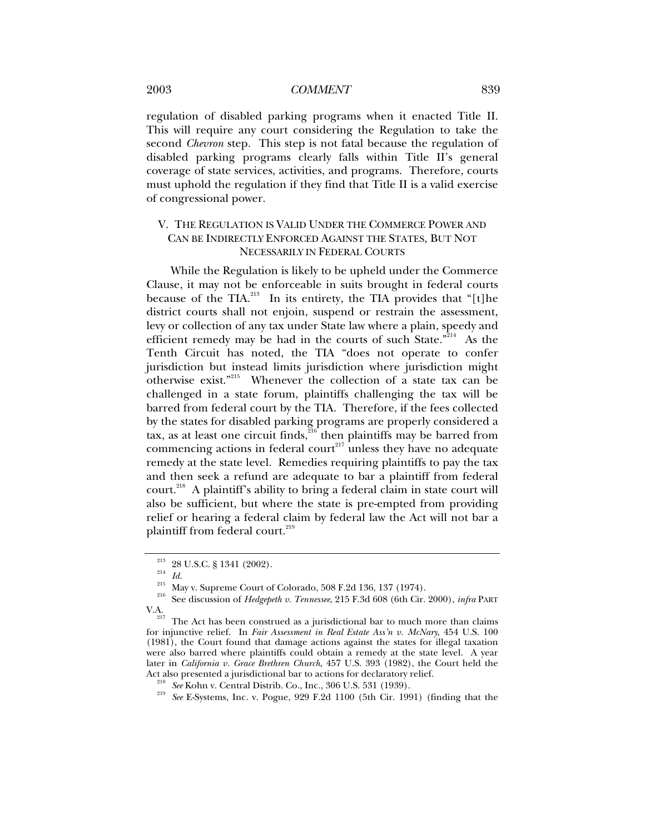2003 *COMMENT* 839

regulation of disabled parking programs when it enacted Title II. This will require any court considering the Regulation to take the second *Chevron* step. This step is not fatal because the regulation of disabled parking programs clearly falls within Title II's general coverage of state services, activities, and programs. Therefore, courts must uphold the regulation if they find that Title II is a valid exercise of congressional power.

# V. THE REGULATION IS VALID UNDER THE COMMERCE POWER AND CAN BE INDIRECTLY ENFORCED AGAINST THE STATES, BUT NOT NECESSARILY IN FEDERAL COURTS

While the Regulation is likely to be upheld under the Commerce Clause, it may not be enforceable in suits brought in federal courts because of the TIA.<sup>213</sup> In its entirety, the TIA provides that "[t]he district courts shall not enjoin, suspend or restrain the assessment, levy or collection of any tax under State law where a plain, speedy and efficient remedy may be had in the courts of such State."<sup>214</sup> As the Tenth Circuit has noted, the TIA "does not operate to confer jurisdiction but instead limits jurisdiction where jurisdiction might otherwise exist."<sup>215</sup> Whenever the collection of a state tax can be challenged in a state forum, plaintiffs challenging the tax will be barred from federal court by the TIA. Therefore, if the fees collected by the states for disabled parking programs are properly considered a tax, as at least one circuit finds,  $216$  then plaintiffs may be barred from commencing actions in federal court<sup>217</sup> unless they have no adequate remedy at the state level. Remedies requiring plaintiffs to pay the tax and then seek a refund are adequate to bar a plaintiff from federal court.<sup>218</sup> A plaintiff's ability to bring a federal claim in state court will also be sufficient, but where the state is pre-empted from providing relief or hearing a federal claim by federal law the Act will not bar a plaintiff from federal court.<sup>219</sup>

<sup>&</sup>lt;sup>213</sup> 28 U.S.C. § 1341 (2002).<br><sup>215</sup> *Id.* <sup>215</sup> May v. Supreme Court of Colorado, 508 F.2d 136, 137 (1974).<br><sup>216</sup> See discussion of *Hedgepeth v. Tennessee*, 215 F.3d 608 (6th Cir. 2000), *infra* PART V.A.

The Act has been construed as a jurisdictional bar to much more than claims for injunctive relief. In *Fair Assessment in Real Estate Ass'n v. McNary*, 454 U.S. 100 (1981), the Court found that damage actions against the states for illegal taxation were also barred where plaintiffs could obtain a remedy at the state level. A year later in *California v. Grace Brethren Church*, 457 U.S. 393 (1982), the Court held the

Act also presented a jurisdictional bar to actions for declaratory relief.<br><sup>218</sup> See Kohn v. Central Distrib. Co., Inc., 306 U.S. 531 (1939).<br><sup>219</sup> See E-Systems, Inc. v. Pogue, 929 F.2d 1100 (5th Cir. 1991) (finding that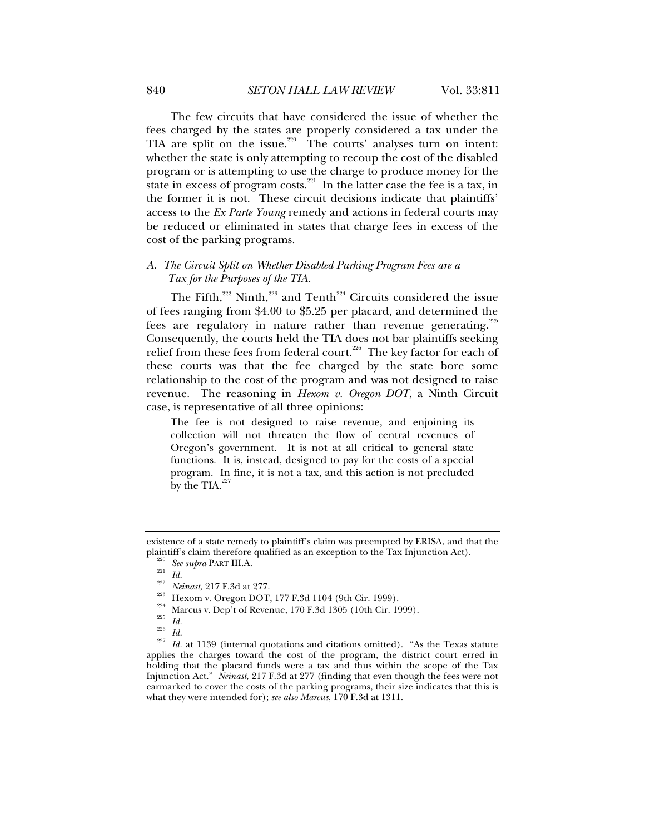The few circuits that have considered the issue of whether the fees charged by the states are properly considered a tax under the TIA are split on the issue.<sup>220</sup> The courts' analyses turn on intent: whether the state is only attempting to recoup the cost of the disabled program or is attempting to use the charge to produce money for the state in excess of program costs.<sup>221</sup> In the latter case the fee is a tax, in the former it is not. These circuit decisions indicate that plaintiffs' access to the *Ex Parte Young* remedy and actions in federal courts may be reduced or eliminated in states that charge fees in excess of the cost of the parking programs.

### *A. The Circuit Split on Whether Disabled Parking Program Fees are a Tax for the Purposes of the TIA.*

The Fifth, $^{222}$  Ninth, $^{223}$  and Tenth<sup> $^{224}$ </sup> Circuits considered the issue of fees ranging from \$4.00 to \$5.25 per placard, and determined the fees are regulatory in nature rather than revenue generating.<sup>225</sup> Consequently, the courts held the TIA does not bar plaintiffs seeking relief from these fees from federal court.<sup>226</sup> The key factor for each of these courts was that the fee charged by the state bore some relationship to the cost of the program and was not designed to raise revenue. The reasoning in *Hexom v. Oregon DOT*, a Ninth Circuit case, is representative of all three opinions:

The fee is not designed to raise revenue, and enjoining its collection will not threaten the flow of central revenues of Oregon's government. It is not at all critical to general state functions. It is, instead, designed to pay for the costs of a special program. In fine, it is not a tax, and this action is not precluded by the TIA. $^{227}$ 

applies the charges toward the cost of the program, the district court erred in holding that the placard funds were a tax and thus within the scope of the Tax Injunction Act." *Neinast*, 217 F.3d at 277 (finding that even though the fees were not earmarked to cover the costs of the parking programs, their size indicates that this is what they were intended for); *see also Marcus*, 170 F.3d at 1311.

existence of a state remedy to plaintiff's claim was preempted by ERISA, and that the plaintiff's claim therefore qualified as an exception to the Tax Injunction Act).<br>
<sup>220</sup> See supra PART III.A.<br>
<sup>221</sup> Id.<br>
<sup>222</sup> Neinast, 217 F.3d at 277.<br>
<sup>223</sup> Hexom v. Oregon DOT, 177 F.3d 1104 (9th Cir. 1999).<br>
<sup>224</sup>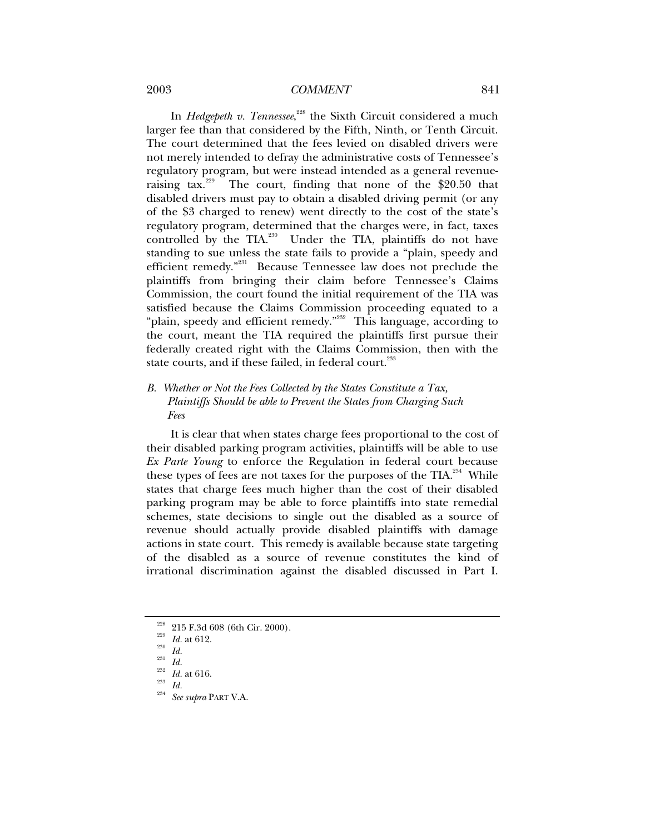### 2003 *COMMENT* 841

In *Hedgepeth v. Tennessee*,<sup>228</sup> the Sixth Circuit considered a much larger fee than that considered by the Fifth, Ninth, or Tenth Circuit. The court determined that the fees levied on disabled drivers were not merely intended to defray the administrative costs of Tennessee's regulatory program, but were instead intended as a general revenueraising tax.<sup>229</sup> The court, finding that none of the \$20.50 that disabled drivers must pay to obtain a disabled driving permit (or any of the \$3 charged to renew) went directly to the cost of the state's regulatory program, determined that the charges were, in fact, taxes controlled by the TIA.<sup>230</sup> Under the TIA, plaintiffs do not have standing to sue unless the state fails to provide a "plain, speedy and efficient remedy."231 Because Tennessee law does not preclude the plaintiffs from bringing their claim before Tennessee's Claims Commission, the court found the initial requirement of the TIA was satisfied because the Claims Commission proceeding equated to a "plain, speedy and efficient remedy."<sup>232</sup> This language, according to the court, meant the TIA required the plaintiffs first pursue their federally created right with the Claims Commission, then with the state courts, and if these failed, in federal court.<sup>233</sup>

### *B. Whether or Not the Fees Collected by the States Constitute a Tax, Plaintiffs Should be able to Prevent the States from Charging Such Fees*

It is clear that when states charge fees proportional to the cost of their disabled parking program activities, plaintiffs will be able to use *Ex Parte Young* to enforce the Regulation in federal court because these types of fees are not taxes for the purposes of the TIA.<sup>234</sup> While states that charge fees much higher than the cost of their disabled parking program may be able to force plaintiffs into state remedial schemes, state decisions to single out the disabled as a source of revenue should actually provide disabled plaintiffs with damage actions in state court. This remedy is available because state targeting of the disabled as a source of revenue constitutes the kind of irrational discrimination against the disabled discussed in Part I.

<sup>228 215</sup> F.3d 608 (6th Cir. 2000). 229 *Id.* at 612. 230 *Id.* <sup>231</sup> *Id.* <sup>232</sup> *Id.* at 616. 233 *Id.* <sup>234</sup> *See supra* PART V.A.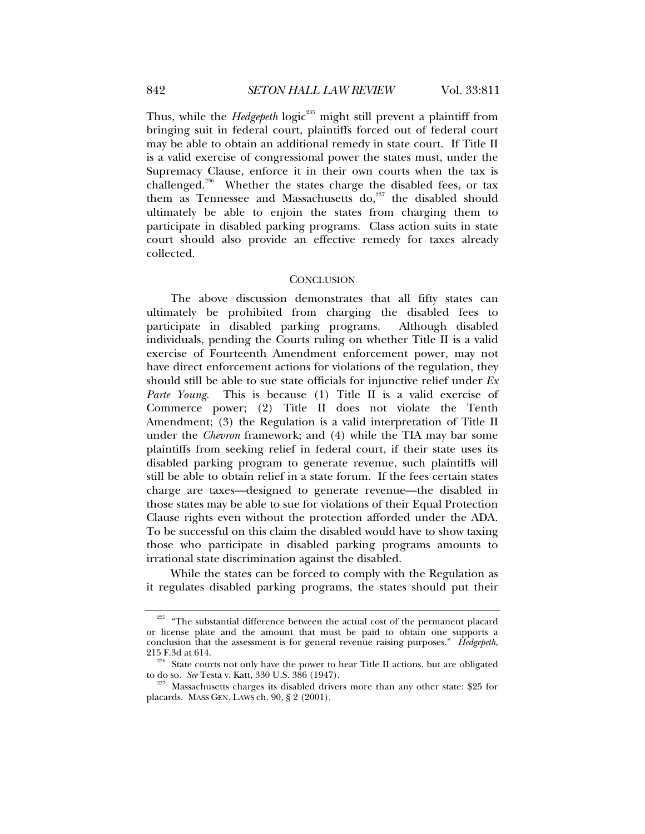Thus, while the *Hedgepeth* logic<sup>235</sup> might still prevent a plaintiff from bringing suit in federal court, plaintiffs forced out of federal court may be able to obtain an additional remedy in state court. If Title II is a valid exercise of congressional power the states must, under the Supremacy Clause, enforce it in their own courts when the tax is challenged.<sup>236</sup> Whether the states charge the disabled fees, or tax them as Tennessee and Massachusetts do, $237$  the disabled should ultimately be able to enjoin the states from charging them to participate in disabled parking programs. Class action suits in state court should also provide an effective remedy for taxes already collected.

#### **CONCLUSION**

The above discussion demonstrates that all fifty states can ultimately be prohibited from charging the disabled fees to participate in disabled parking programs. Although disabled individuals, pending the Courts ruling on whether Title II is a valid exercise of Fourteenth Amendment enforcement power, may not have direct enforcement actions for violations of the regulation, they should still be able to sue state officials for injunctive relief under *Ex Parte Young*. This is because (1) Title II is a valid exercise of Commerce power; (2) Title II does not violate the Tenth Amendment; (3) the Regulation is a valid interpretation of Title II under the *Chevron* framework; and (4) while the TIA may bar some plaintiffs from seeking relief in federal court, if their state uses its disabled parking program to generate revenue, such plaintiffs will still be able to obtain relief in a state forum. If the fees certain states charge are taxes—designed to generate revenue—the disabled in those states may be able to sue for violations of their Equal Protection Clause rights even without the protection afforded under the ADA. To be successful on this claim the disabled would have to show taxing those who participate in disabled parking programs amounts to irrational state discrimination against the disabled.

While the states can be forced to comply with the Regulation as it regulates disabled parking programs, the states should put their

 $235$  "The substantial difference between the actual cost of the permanent placard or license plate and the amount that must be paid to obtain one supports a conclusion that the assessment is for general revenue raising purposes." *Hedgepeth*,

<sup>&</sup>lt;sup>256</sup> State courts not only have the power to hear Title II actions, but are obligated to do so. *See* Testa v. Katt, 330 U.S. 386 (1947).<br><sup>237</sup> Massachusetts charges its disabled drivers more than any other state: \$25 for

placards. MASS GEN. LAWS ch. 90, § 2 (2001).